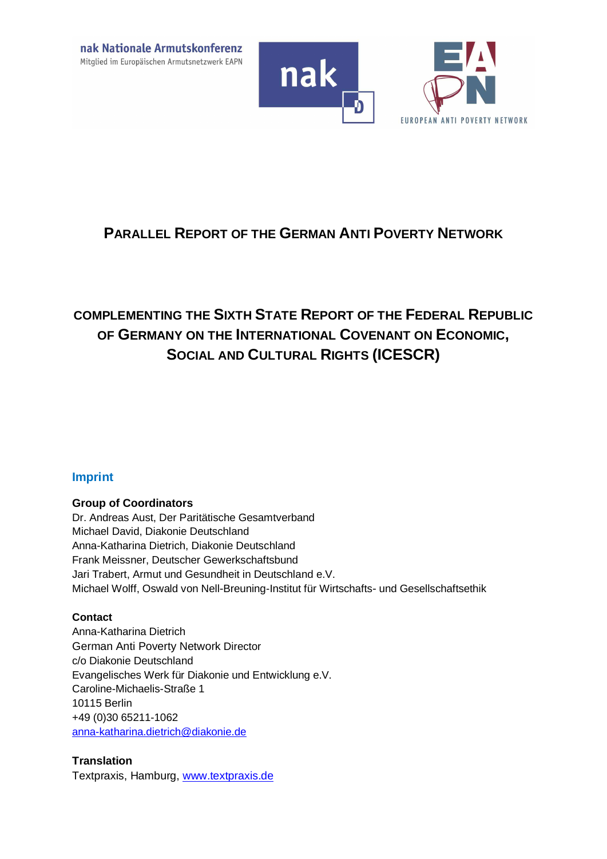



# **PARALLEL REPORT OF THE GERMAN ANTI POVERTY NETWORK**

# **COMPLEMENTING THE SIXTH STATE REPORT OF THE FEDERAL REPUBLIC OF GERMANY ON THE INTERNATIONAL COVENANT ON ECONOMIC, SOCIAL AND CULTURAL RIGHTS (ICESCR)**

## **Imprint**

#### **Group of Coordinators**

Dr. Andreas Aust, Der Paritätische Gesamtverband Michael David, Diakonie Deutschland Anna-Katharina Dietrich, Diakonie Deutschland Frank Meissner, Deutscher Gewerkschaftsbund Jari Trabert, Armut und Gesundheit in Deutschland e.V. Michael Wolff, Oswald von Nell-Breuning-Institut für Wirtschafts- und Gesellschaftsethik

#### **Contact**

Anna-Katharina Dietrich German Anti Poverty Network Director c/o Diakonie Deutschland Evangelisches Werk für Diakonie und Entwicklung e.V. Caroline-Michaelis-Straße 1 10115 Berlin +49 (0)30 65211-1062 anna-katharina.dietrich@diakonie.de

#### **Translation**

Textpraxis, Hamburg, www.textpraxis.de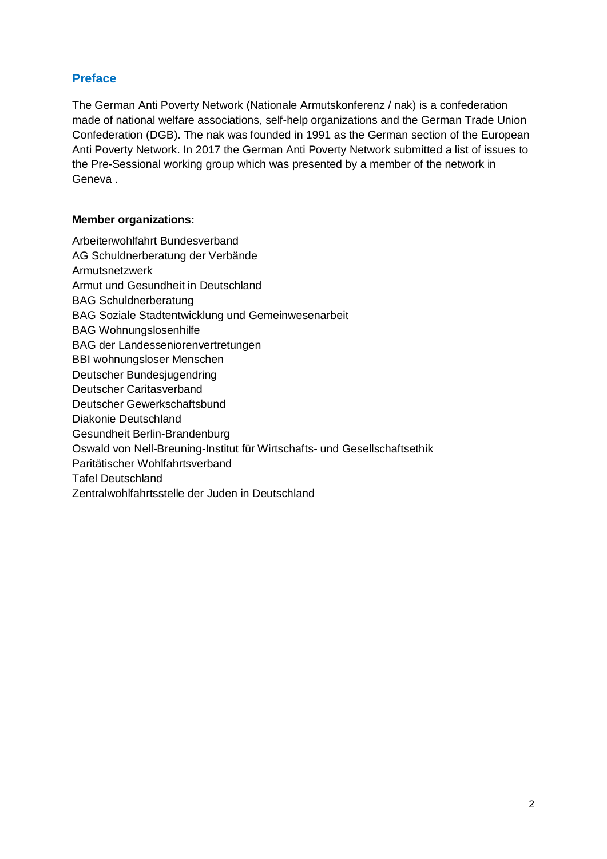## **Preface**

The German Anti Poverty Network (Nationale Armutskonferenz / nak) is a confederation made of national welfare associations, self-help organizations and the German Trade Union Confederation (DGB). The nak was founded in 1991 as the German section of the European Anti Poverty Network. In 2017 the German Anti Poverty Network submitted a list of issues to the Pre-Sessional working group which was presented by a member of the network in Geneva .

#### **Member organizations:**

Arbeiterwohlfahrt Bundesverband AG Schuldnerberatung der Verbände Armutsnetzwerk Armut und Gesundheit in Deutschland BAG Schuldnerberatung BAG Soziale Stadtentwicklung und Gemeinwesenarbeit BAG Wohnungslosenhilfe BAG der Landesseniorenvertretungen BBI wohnungsloser Menschen Deutscher Bundesjugendring Deutscher Caritasverband Deutscher Gewerkschaftsbund Diakonie Deutschland Gesundheit Berlin-Brandenburg Oswald von Nell-Breuning-Institut für Wirtschafts- und Gesellschaftsethik Paritätischer Wohlfahrtsverband Tafel Deutschland Zentralwohlfahrtsstelle der Juden in Deutschland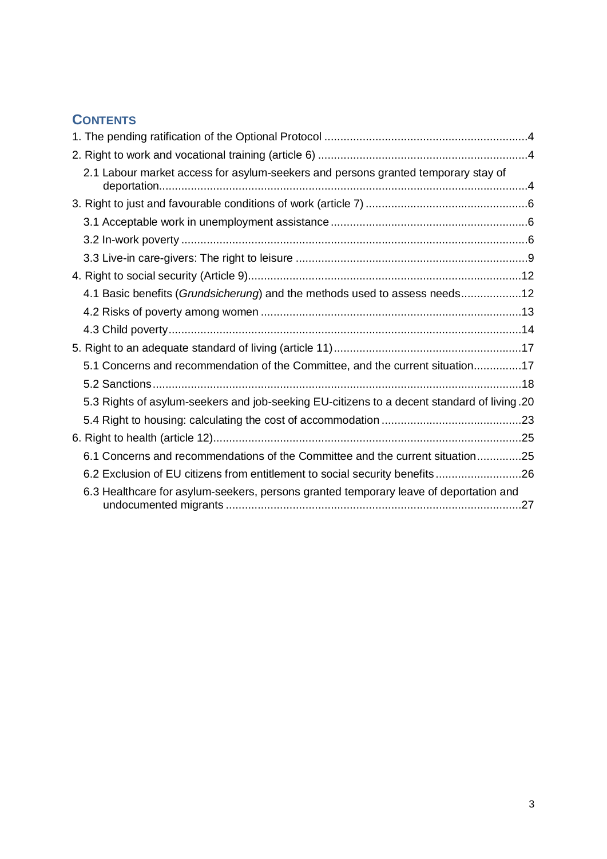# **CONTENTS**

|  | 2.1 Labour market access for asylum-seekers and persons granted temporary stay of           |  |
|--|---------------------------------------------------------------------------------------------|--|
|  |                                                                                             |  |
|  |                                                                                             |  |
|  |                                                                                             |  |
|  |                                                                                             |  |
|  |                                                                                             |  |
|  | 4.1 Basic benefits (Grundsicherung) and the methods used to assess needs12                  |  |
|  |                                                                                             |  |
|  |                                                                                             |  |
|  |                                                                                             |  |
|  | 5.1 Concerns and recommendation of the Committee, and the current situation17               |  |
|  |                                                                                             |  |
|  | 5.3 Rights of asylum-seekers and job-seeking EU-citizens to a decent standard of living .20 |  |
|  |                                                                                             |  |
|  |                                                                                             |  |
|  | 6.1 Concerns and recommendations of the Committee and the current situation25               |  |
|  | 6.2 Exclusion of EU citizens from entitlement to social security benefits26                 |  |
|  | 6.3 Healthcare for asylum-seekers, persons granted temporary leave of deportation and       |  |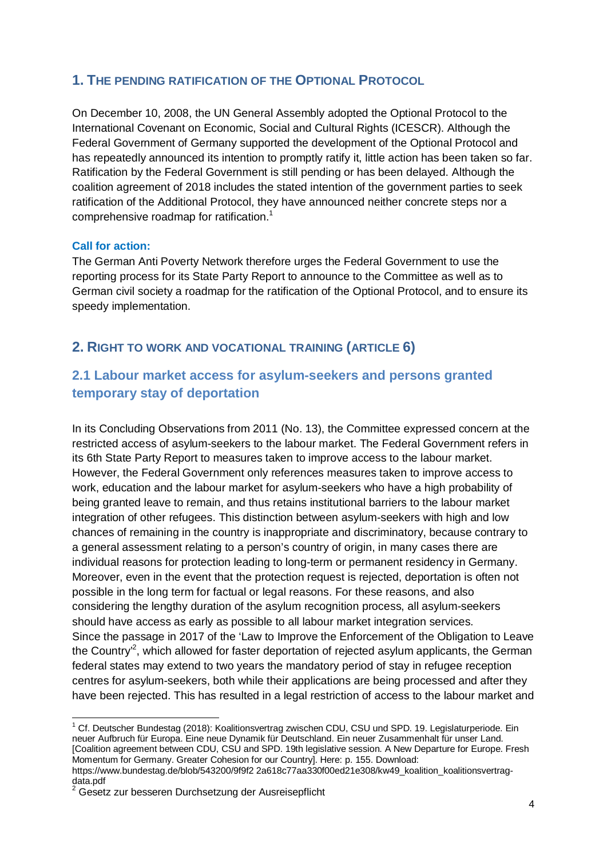## **1. THE PENDING RATIFICATION OF THE OPTIONAL PROTOCOL**

On December 10, 2008, the UN General Assembly adopted the Optional Protocol to the International Covenant on Economic, Social and Cultural Rights (ICESCR). Although the Federal Government of Germany supported the development of the Optional Protocol and has repeatedly announced its intention to promptly ratify it, little action has been taken so far. Ratification by the Federal Government is still pending or has been delayed. Although the coalition agreement of 2018 includes the stated intention of the government parties to seek ratification of the Additional Protocol, they have announced neither concrete steps nor a comprehensive roadmap for ratification.<sup>1</sup>

#### **Call for action:**

The German Anti Poverty Network therefore urges the Federal Government to use the reporting process for its State Party Report to announce to the Committee as well as to German civil society a roadmap for the ratification of the Optional Protocol, and to ensure its speedy implementation.

## **2. RIGHT TO WORK AND VOCATIONAL TRAINING (ARTICLE 6)**

# **2.1 Labour market access for asylum-seekers and persons granted temporary stay of deportation**

In its Concluding Observations from 2011 (No. 13), the Committee expressed concern at the restricted access of asylum-seekers to the labour market. The Federal Government refers in its 6th State Party Report to measures taken to improve access to the labour market. However, the Federal Government only references measures taken to improve access to work, education and the labour market for asylum-seekers who have a high probability of being granted leave to remain, and thus retains institutional barriers to the labour market integration of other refugees. This distinction between asylum-seekers with high and low chances of remaining in the country is inappropriate and discriminatory, because contrary to a general assessment relating to a person's country of origin, in many cases there are individual reasons for protection leading to long-term or permanent residency in Germany. Moreover, even in the event that the protection request is rejected, deportation is often not possible in the long term for factual or legal reasons. For these reasons, and also considering the lengthy duration of the asylum recognition process, all asylum-seekers should have access as early as possible to all labour market integration services. Since the passage in 2017 of the 'Law to Improve the Enforcement of the Obligation to Leave the Country<sup>2</sup>, which allowed for faster deportation of rejected asylum applicants, the German federal states may extend to two years the mandatory period of stay in refugee reception centres for asylum-seekers, both while their applications are being processed and after they have been rejected. This has resulted in a legal restriction of access to the labour market and

<sup>&</sup>lt;sup>1</sup> Cf. Deutscher Bundestag (2018): Koalitionsvertrag zwischen CDU, CSU und SPD. 19. Legislaturperiode. Ein neuer Aufbruch für Europa. Eine neue Dynamik für Deutschland. Ein neuer Zusammenhalt für unser Land. [Coalition agreement between CDU, CSU and SPD. 19th legislative session. A New Departure for Europe. Fresh Momentum for Germany. Greater Cohesion for our Country]. Here: p. 155. Download:

https://www.bundestag.de/blob/543200/9f9f2 2a618c77aa330f00ed21e308/kw49\_koalition\_koalitionsvertragdata.pdf

<sup>&</sup>lt;sup>2</sup> Gesetz zur besseren Durchsetzung der Ausreisepflicht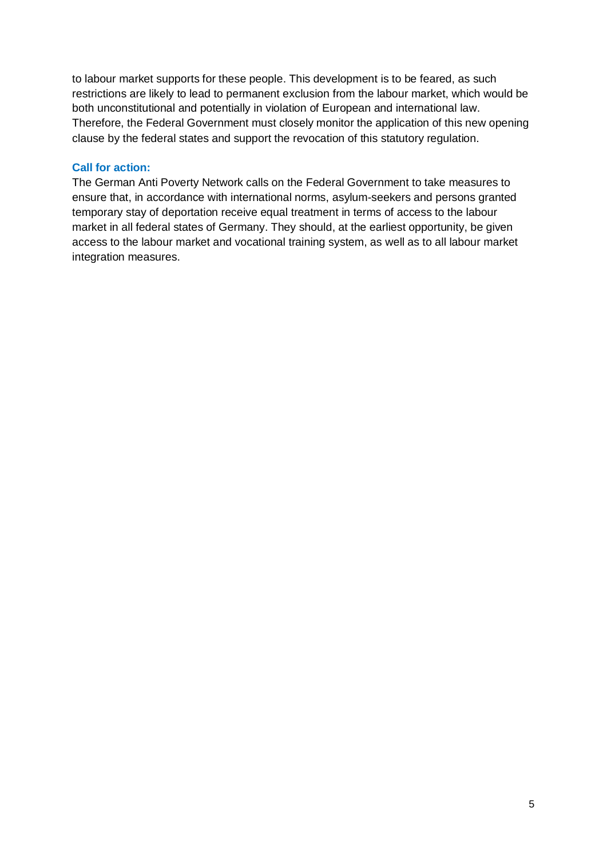to labour market supports for these people. This development is to be feared, as such restrictions are likely to lead to permanent exclusion from the labour market, which would be both unconstitutional and potentially in violation of European and international law. Therefore, the Federal Government must closely monitor the application of this new opening clause by the federal states and support the revocation of this statutory regulation.

#### **Call for action:**

The German Anti Poverty Network calls on the Federal Government to take measures to ensure that, in accordance with international norms, asylum-seekers and persons granted temporary stay of deportation receive equal treatment in terms of access to the labour market in all federal states of Germany. They should, at the earliest opportunity, be given access to the labour market and vocational training system, as well as to all labour market integration measures.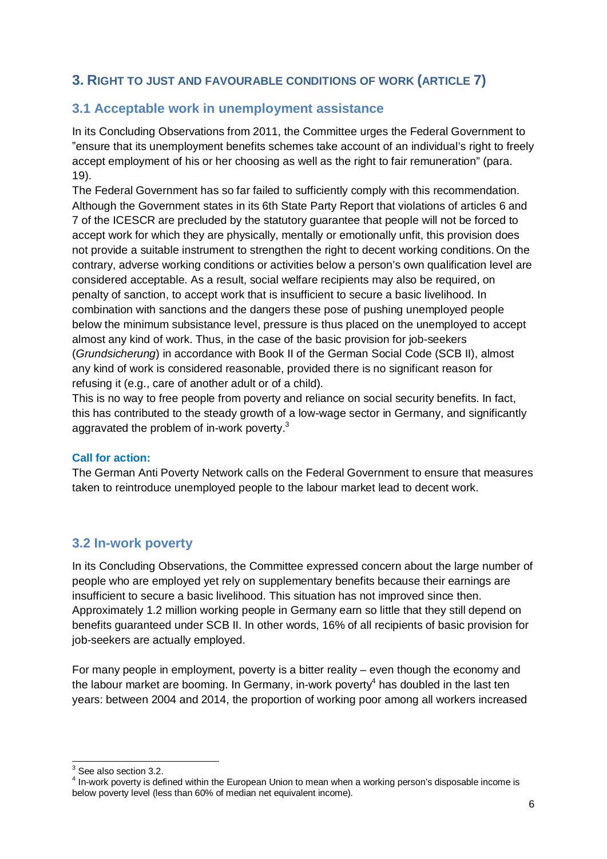# **3. RIGHT TO JUST AND FAVOURABLE CONDITIONS OF WORK (ARTICLE 7)**

# **3.1 Acceptable work in unemployment assistance**

In its Concluding Observations from 2011, the Committee urges the Federal Government to "ensure that its unemployment benefits schemes take account of an individual's right to freely accept employment of his or her choosing as well as the right to fair remuneration" (para. 19).

The Federal Government has so far failed to sufficiently comply with this recommendation. Although the Government states in its 6th State Party Report that violations of articles 6 and 7 of the ICESCR are precluded by the statutory guarantee that people will not be forced to accept work for which they are physically, mentally or emotionally unfit, this provision does not provide a suitable instrument to strengthen the right to decent working conditions. On the contrary, adverse working conditions or activities below a person's own qualification level are considered acceptable. As a result, social welfare recipients may also be required, on penalty of sanction, to accept work that is insufficient to secure a basic livelihood. In combination with sanctions and the dangers these pose of pushing unemployed people below the minimum subsistance level, pressure is thus placed on the unemployed to accept almost any kind of work. Thus, in the case of the basic provision for job-seekers (*Grundsicherung*) in accordance with Book II of the German Social Code (SCB II), almost any kind of work is considered reasonable, provided there is no significant reason for refusing it (e.g., care of another adult or of a child).

This is no way to free people from poverty and reliance on social security benefits. In fact, this has contributed to the steady growth of a low-wage sector in Germany, and significantly aggravated the problem of in-work poverty. $3$ 

#### **Call for action:**

The German Anti Poverty Network calls on the Federal Government to ensure that measures taken to reintroduce unemployed people to the labour market lead to decent work.

# **3.2 In-work poverty**

In its Concluding Observations, the Committee expressed concern about the large number of people who are employed yet rely on supplementary benefits because their earnings are insufficient to secure a basic livelihood. This situation has not improved since then. Approximately 1.2 million working people in Germany earn so little that they still depend on benefits guaranteed under SCB II. In other words, 16% of all recipients of basic provision for job-seekers are actually employed.

For many people in employment, poverty is a bitter reality – even though the economy and the labour market are booming. In Germany, in-work poverty<sup>4</sup> has doubled in the last ten years: between 2004 and 2014, the proportion of working poor among all workers increased

 $3$  See also section 3.2.

<sup>&</sup>lt;sup>4</sup> In-work poverty is defined within the European Union to mean when a working person's disposable income is below poverty level (less than 60% of median net equivalent income).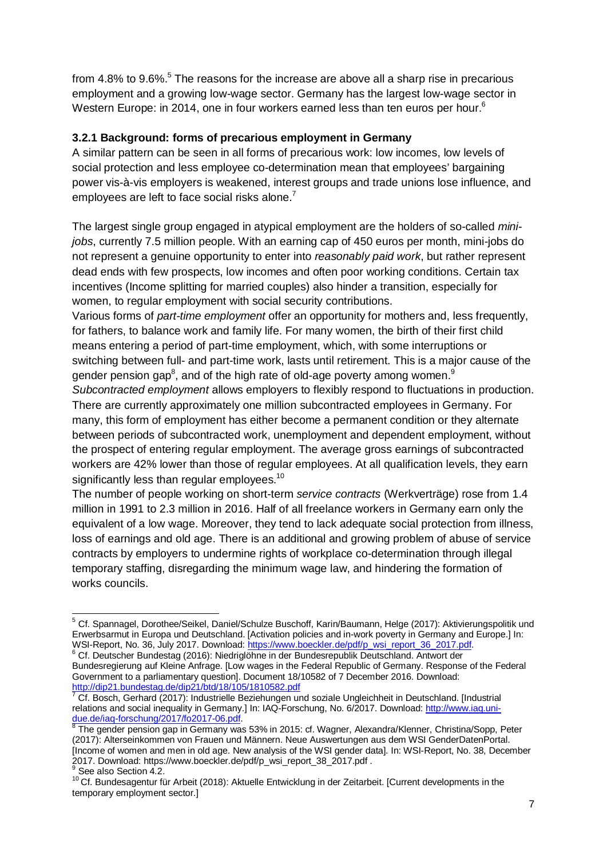from 4.8% to 9.6%.<sup>5</sup> The reasons for the increase are above all a sharp rise in precarious employment and a growing low-wage sector. Germany has the largest low-wage sector in Western Europe: in 2014, one in four workers earned less than ten euros per hour.<sup>6</sup>

#### **3.2.1 Background: forms of precarious employment in Germany**

A similar pattern can be seen in all forms of precarious work: low incomes, low levels of social protection and less employee co-determination mean that employees' bargaining power vis-à-vis employers is weakened, interest groups and trade unions lose influence, and employees are left to face social risks alone.<sup>7</sup>

The largest single group engaged in atypical employment are the holders of so-called *minijobs*, currently 7.5 million people. With an earning cap of 450 euros per month, mini-jobs do not represent a genuine opportunity to enter into *reasonably paid work*, but rather represent dead ends with few prospects, low incomes and often poor working conditions. Certain tax incentives (Income splitting for married couples) also hinder a transition, especially for women, to regular employment with social security contributions.

Various forms of *part-time employment* offer an opportunity for mothers and, less frequently, for fathers, to balance work and family life. For many women, the birth of their first child means entering a period of part-time employment, which, with some interruptions or switching between full- and part-time work, lasts until retirement. This is a major cause of the gender pension gap $^8$ , and of the high rate of old-age poverty among women. $^{\textrm{\textregistered}}$ 

*Subcontracted employment* allows employers to flexibly respond to fluctuations in production. There are currently approximately one million subcontracted employees in Germany. For many, this form of employment has either become a permanent condition or they alternate between periods of subcontracted work, unemployment and dependent employment, without the prospect of entering regular employment. The average gross earnings of subcontracted workers are 42% lower than those of regular employees. At all qualification levels, they earn significantly less than regular employees. $10$ 

The number of people working on short-term *service contracts* (Werkverträge) rose from 1.4 million in 1991 to 2.3 million in 2016. Half of all freelance workers in Germany earn only the equivalent of a low wage. Moreover, they tend to lack adequate social protection from illness, loss of earnings and old age. There is an additional and growing problem of abuse of service contracts by employers to undermine rights of workplace co-determination through illegal temporary staffing, disregarding the minimum wage law, and hindering the formation of works councils.

<sup>&</sup>lt;sup>5</sup> Cf. Spannagel, Dorothee/Seikel, Daniel/Schulze Buschoff, Karin/Baumann, Helge (2017): Aktivierungspolitik und Erwerbsarmut in Europa und Deutschland. [Activation policies and in-work poverty in Germany and Europe.] In: WSI-Report, No. 36, July 2017. Download: https://www.boeckler.de/pdf/p\_wsi\_report\_36\_2017.pdf.

<sup>6</sup> Cf. Deutscher Bundestag (2016): Niedriglöhne in der Bundesrepublik Deutschland. Antwort der Bundesregierung auf Kleine Anfrage. [Low wages in the Federal Republic of Germany. Response of the Federal Government to a parliamentary question]. Document 18/10582 of 7 December 2016. Download: http://dip21.bundestag.de/dip21/btd/18/105/1810582.pdf

<sup>&</sup>lt;sup>7</sup> Cf. Bosch, Gerhard (2017): Industrielle Beziehungen und soziale Ungleichheit in Deutschland. [Industrial relations and social inequality in Germany.] In: IAQ-Forschung, No. 6/2017. Download: http://www.iaq.unidue.de/iaq-forschung/2017/fo2017-06.pdf. 8

The gender pension gap in Germany was 53% in 2015: cf. Wagner, Alexandra/Klenner, Christina/Sopp, Peter (2017): Alterseinkommen von Frauen und Männern. Neue Auswertungen aus dem WSI GenderDatenPortal. [Income of women and men in old age. New analysis of the WSI gender data]. In: WSI-Report, No. 38, December 2017. Download: https://www.boeckler.de/pdf/p\_wsi\_report\_38\_2017.pdf .

<sup>&</sup>lt;sup>9</sup> See also Section 4.2.

<sup>10</sup> Cf. Bundesagentur für Arbeit (2018): Aktuelle Entwicklung in der Zeitarbeit. [Current developments in the temporary employment sector.]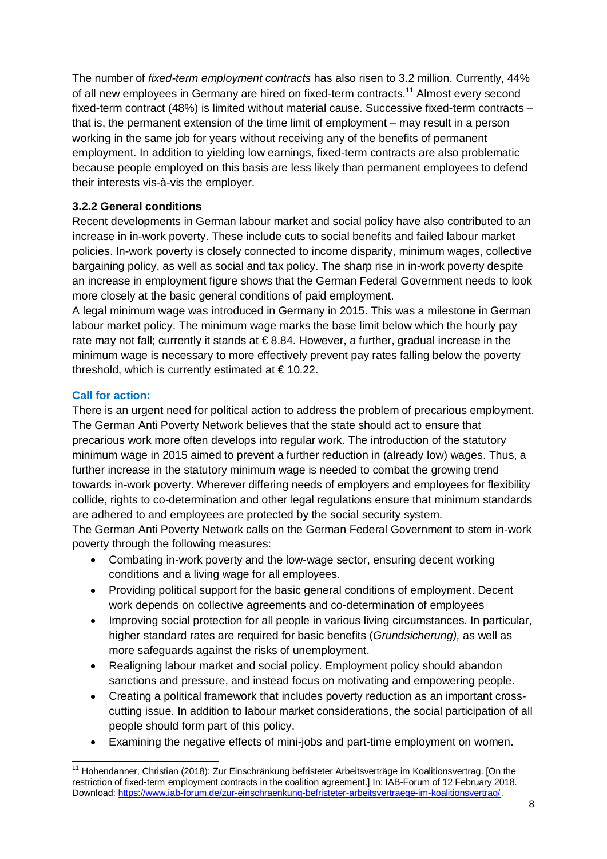The number of *fixed-term employment contracts* has also risen to 3.2 million. Currently, 44% of all new employees in Germany are hired on fixed-term contracts.<sup>11</sup> Almost every second fixed-term contract (48%) is limited without material cause. Successive fixed-term contracts – that is, the permanent extension of the time limit of employment – may result in a person working in the same job for years without receiving any of the benefits of permanent employment. In addition to yielding low earnings, fixed-term contracts are also problematic because people employed on this basis are less likely than permanent employees to defend their interests vis-à-vis the employer.

## **3.2.2 General conditions**

Recent developments in German labour market and social policy have also contributed to an increase in in-work poverty. These include cuts to social benefits and failed labour market policies. In-work poverty is closely connected to income disparity, minimum wages, collective bargaining policy, as well as social and tax policy. The sharp rise in in-work poverty despite an increase in employment figure shows that the German Federal Government needs to look more closely at the basic general conditions of paid employment.

A legal minimum wage was introduced in Germany in 2015. This was a milestone in German labour market policy. The minimum wage marks the base limit below which the hourly pay rate may not fall; currently it stands at €8.84. However, a further, gradual increase in the minimum wage is necessary to more effectively prevent pay rates falling below the poverty threshold, which is currently estimated at  $\in$  10.22.

## **Call for action:**

There is an urgent need for political action to address the problem of precarious employment. The German Anti Poverty Network believes that the state should act to ensure that precarious work more often develops into regular work. The introduction of the statutory minimum wage in 2015 aimed to prevent a further reduction in (already low) wages. Thus, a further increase in the statutory minimum wage is needed to combat the growing trend towards in-work poverty. Wherever differing needs of employers and employees for flexibility collide, rights to co-determination and other legal regulations ensure that minimum standards are adhered to and employees are protected by the social security system.

The German Anti Poverty Network calls on the German Federal Government to stem in-work poverty through the following measures:

- · Combating in-work poverty and the low-wage sector, ensuring decent working conditions and a living wage for all employees.
- · Providing political support for the basic general conditions of employment. Decent work depends on collective agreements and co-determination of employees
- · Improving social protection for all people in various living circumstances. In particular, higher standard rates are required for basic benefits (*Grundsicherung),* as well as more safeguards against the risks of unemployment.
- Realigning labour market and social policy. Employment policy should abandon sanctions and pressure, and instead focus on motivating and empowering people.
- · Creating a political framework that includes poverty reduction as an important crosscutting issue. In addition to labour market considerations, the social participation of all people should form part of this policy.
- · Examining the negative effects of mini-jobs and part-time employment on women.

<sup>&</sup>lt;sup>11</sup> Hohendanner, Christian (2018): Zur Einschränkung befristeter Arbeitsverträge im Koalitionsvertrag. [On the restriction of fixed-term employment contracts in the coalition agreement.] In: IAB-Forum of 12 February 2018. Download: https://www.iab-forum.de/zur-einschraenkung-befristeter-arbeitsvertraege-im-koalitionsvertrag/.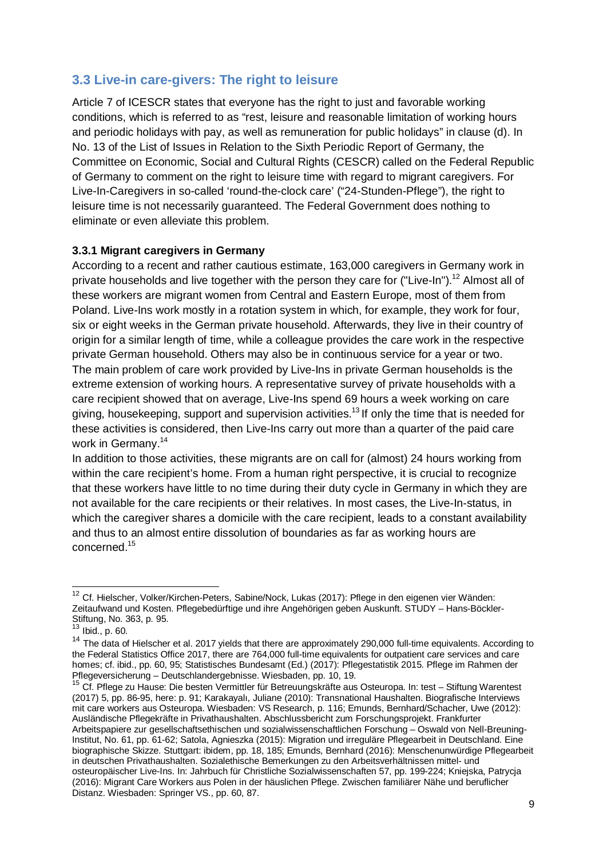# **3.3 Live-in care-givers: The right to leisure**

Article 7 of ICESCR states that everyone has the right to just and favorable working conditions, which is referred to as "rest, leisure and reasonable limitation of working hours and periodic holidays with pay, as well as remuneration for public holidays" in clause (d). In No. 13 of the List of Issues in Relation to the Sixth Periodic Report of Germany, the Committee on Economic, Social and Cultural Rights (CESCR) called on the Federal Republic of Germany to comment on the right to leisure time with regard to migrant caregivers. For Live-In-Caregivers in so-called 'round-the-clock care' ("24-Stunden-Pflege"), the right to leisure time is not necessarily guaranteed. The Federal Government does nothing to eliminate or even alleviate this problem.

#### **3.3.1 Migrant caregivers in Germany**

According to a recent and rather cautious estimate, 163,000 caregivers in Germany work in private households and live together with the person they care for ("Live-In").<sup>12</sup> Almost all of these workers are migrant women from Central and Eastern Europe, most of them from Poland. Live-Ins work mostly in a rotation system in which, for example, they work for four, six or eight weeks in the German private household. Afterwards, they live in their country of origin for a similar length of time, while a colleague provides the care work in the respective private German household. Others may also be in continuous service for a year or two. The main problem of care work provided by Live-Ins in private German households is the extreme extension of working hours. A representative survey of private households with a care recipient showed that on average, Live-Ins spend 69 hours a week working on care giving, housekeeping, support and supervision activities.<sup>13</sup> If only the time that is needed for these activities is considered, then Live-Ins carry out more than a quarter of the paid care work in Germany.<sup>14</sup>

In addition to those activities, these migrants are on call for (almost) 24 hours working from within the care recipient's home. From a human right perspective, it is crucial to recognize that these workers have little to no time during their duty cycle in Germany in which they are not available for the care recipients or their relatives. In most cases, the Live-In-status, in which the caregiver shares a domicile with the care recipient, leads to a constant availability and thus to an almost entire dissolution of boundaries as far as working hours are concerned.<sup>15</sup>

<sup>&</sup>lt;sup>12</sup> Cf. Hielscher, Volker/Kirchen-Peters, Sabine/Nock, Lukas (2017): Pflege in den eigenen vier Wänden: Zeitaufwand und Kosten. Pflegebedürftige und ihre Angehörigen geben Auskunft. STUDY – Hans-Böckler-Stiftung, No. 363, p. 95.

 $13$  Ibid., p. 60.

<sup>&</sup>lt;sup>14</sup> The data of Hielscher et al. 2017 yields that there are approximately 290,000 full-time equivalents. According to the Federal Statistics Office 2017, there are 764,000 full-time equivalents for outpatient care services and care homes; cf. ibid., pp. 60, 95; Statistisches Bundesamt (Ed.) (2017): Pflegestatistik 2015. Pflege im Rahmen der Pflegeversicherung – Deutschlandergebnisse. Wiesbaden, pp. 10, 19.

<sup>15</sup> Cf. Pflege zu Hause: Die besten Vermittler für Betreuungskräfte aus Osteuropa. In: test – Stiftung Warentest (2017) 5, pp. 86-95, here: p. 91; Karakayalı, Juliane (2010): Transnational Haushalten. Biografische Interviews mit care workers aus Osteuropa. Wiesbaden: VS Research, p. 116; Emunds, Bernhard/Schacher, Uwe (2012): Ausländische Pflegekräfte in Privathaushalten. Abschlussbericht zum Forschungsprojekt. Frankfurter Arbeitspapiere zur gesellschaftsethischen und sozialwissenschaftlichen Forschung – Oswald von Nell-Breuning-Institut, No. 61, pp. 61-62; Satola, Agnieszka (2015): Migration und irreguläre Pflegearbeit in Deutschland. Eine biographische Skizze. Stuttgart: ibidem, pp. 18, 185; Emunds, Bernhard (2016): Menschenunwürdige Pflegearbeit in deutschen Privathaushalten. Sozialethische Bemerkungen zu den Arbeitsverhältnissen mittel- und osteuropäischer Live-Ins. In: Jahrbuch für Christliche Sozialwissenschaften 57, pp. 199-224; Kniejska, Patrycja (2016): Migrant Care Workers aus Polen in der häuslichen Pflege. Zwischen familiärer Nähe und beruflicher Distanz. Wiesbaden: Springer VS., pp. 60, 87.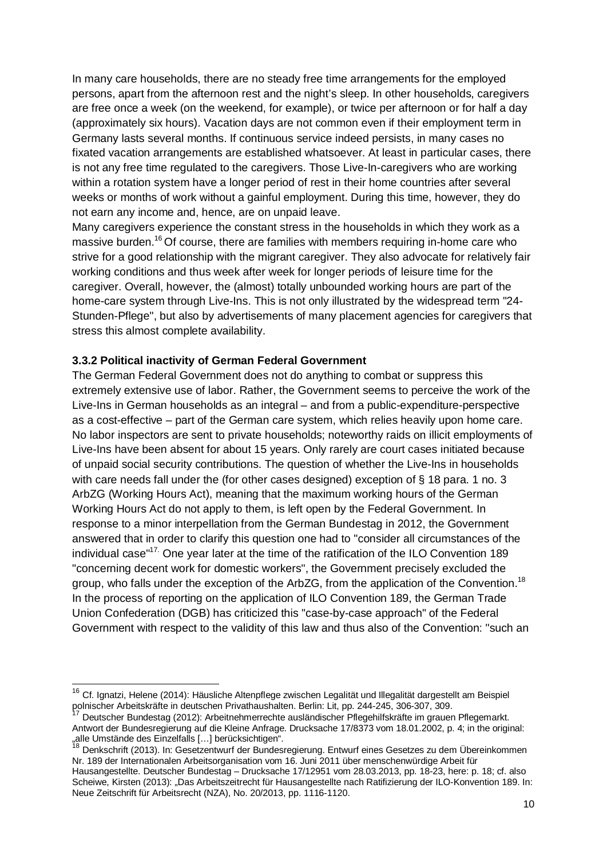In many care households, there are no steady free time arrangements for the employed persons, apart from the afternoon rest and the night's sleep. In other households, caregivers are free once a week (on the weekend, for example), or twice per afternoon or for half a day (approximately six hours). Vacation days are not common even if their employment term in Germany lasts several months. If continuous service indeed persists, in many cases no fixated vacation arrangements are established whatsoever. At least in particular cases, there is not any free time regulated to the caregivers. Those Live-In-caregivers who are working within a rotation system have a longer period of rest in their home countries after several weeks or months of work without a gainful employment. During this time, however, they do not earn any income and, hence, are on unpaid leave.

Many caregivers experience the constant stress in the households in which they work as a massive burden.<sup>16</sup> Of course, there are families with members requiring in-home care who strive for a good relationship with the migrant caregiver. They also advocate for relatively fair working conditions and thus week after week for longer periods of leisure time for the caregiver. Overall, however, the (almost) totally unbounded working hours are part of the home-care system through Live-Ins. This is not only illustrated by the widespread term "24- Stunden-Pflege", but also by advertisements of many placement agencies for caregivers that stress this almost complete availability.

#### **3.3.2 Political inactivity of German Federal Government**

The German Federal Government does not do anything to combat or suppress this extremely extensive use of labor. Rather, the Government seems to perceive the work of the Live-Ins in German households as an integral – and from a public-expenditure-perspective as a cost-effective – part of the German care system, which relies heavily upon home care. No labor inspectors are sent to private households; noteworthy raids on illicit employments of Live-Ins have been absent for about 15 years. Only rarely are court cases initiated because of unpaid social security contributions. The question of whether the Live-Ins in households with care needs fall under the (for other cases designed) exception of § 18 para. 1 no. 3 ArbZG (Working Hours Act), meaning that the maximum working hours of the German Working Hours Act do not apply to them, is left open by the Federal Government. In response to a minor interpellation from the German Bundestag in 2012, the Government answered that in order to clarify this question one had to "consider all circumstances of the individual case<sup>"17.</sup> One year later at the time of the ratification of the ILO Convention 189 "concerning decent work for domestic workers", the Government precisely excluded the group, who falls under the exception of the ArbZG, from the application of the Convention.<sup>18</sup> In the process of reporting on the application of ILO Convention 189, the German Trade Union Confederation (DGB) has criticized this "case-by-case approach" of the Federal Government with respect to the validity of this law and thus also of the Convention: "such an

<sup>&</sup>lt;sup>16</sup> Cf. Ignatzi, Helene (2014): Häusliche Altenpflege zwischen Legalität und Illegalität dargestellt am Beispiel polnischer Arbeitskräfte in deutschen Privathaushalten. Berlin: Lit, pp. 244-245, 306-307, 309.

<sup>17</sup> Deutscher Bundestag (2012): Arbeitnehmerrechte ausländischer Pflegehilfskräfte im grauen Pflegemarkt. Antwort der Bundesregierung auf die Kleine Anfrage. Drucksache 17/8373 vom 18.01.2002, p. 4; in the original: "alle Umstände des Einzelfalls [...] berücksichtigen".

<sup>18</sup> Denkschrift (2013). In: Gesetzentwurf der Bundesregierung. Entwurf eines Gesetzes zu dem Übereinkommen Nr. 189 der Internationalen Arbeitsorganisation vom 16. Juni 2011 über menschenwürdige Arbeit für Hausangestellte. Deutscher Bundestag – Drucksache 17/12951 vom 28.03.2013, pp. 18-23, here: p. 18; cf. also Scheiwe, Kirsten (2013): "Das Arbeitszeitrecht für Hausangestellte nach Ratifizierung der ILO-Konvention 189. In: Neue Zeitschrift für Arbeitsrecht (NZA), No. 20/2013, pp. 1116-1120.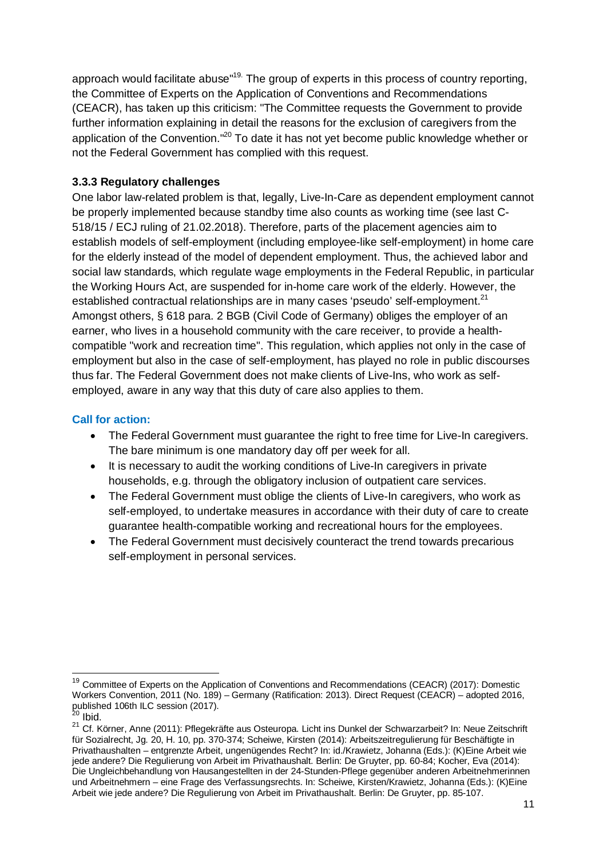approach would facilitate abuse"<sup>19.</sup> The group of experts in this process of country reporting, the Committee of Experts on the Application of Conventions and Recommendations (CEACR), has taken up this criticism: "The Committee requests the Government to provide further information explaining in detail the reasons for the exclusion of caregivers from the application of the Convention."<sup>20</sup> To date it has not yet become public knowledge whether or not the Federal Government has complied with this request.

#### **3.3.3 Regulatory challenges**

One labor law-related problem is that, legally, Live-In-Care as dependent employment cannot be properly implemented because standby time also counts as working time (see last C-518/15 / ECJ ruling of 21.02.2018). Therefore, parts of the placement agencies aim to establish models of self-employment (including employee-like self-employment) in home care for the elderly instead of the model of dependent employment. Thus, the achieved labor and social law standards, which regulate wage employments in the Federal Republic, in particular the Working Hours Act, are suspended for in-home care work of the elderly. However, the established contractual relationships are in many cases 'pseudo' self-employment. $2^1$ Amongst others, § 618 para. 2 BGB (Civil Code of Germany) obliges the employer of an earner, who lives in a household community with the care receiver, to provide a healthcompatible "work and recreation time". This regulation, which applies not only in the case of employment but also in the case of self-employment, has played no role in public discourses thus far. The Federal Government does not make clients of Live-Ins, who work as selfemployed, aware in any way that this duty of care also applies to them.

## **Call for action:**

- The Federal Government must guarantee the right to free time for Live-In caregivers. The bare minimum is one mandatory day off per week for all.
- · It is necessary to audit the working conditions of Live-In caregivers in private households, e.g. through the obligatory inclusion of outpatient care services.
- · The Federal Government must oblige the clients of Live-In caregivers, who work as self-employed, to undertake measures in accordance with their duty of care to create guarantee health-compatible working and recreational hours for the employees.
- · The Federal Government must decisively counteract the trend towards precarious self-employment in personal services.

<sup>&</sup>lt;sup>19</sup> Committee of Experts on the Application of Conventions and Recommendations (CEACR) (2017): Domestic Workers Convention, 2011 (No. 189) – Germany (Ratification: 2013). Direct Request (CEACR) – adopted 2016, published 106th ILC session (2017).

<sup>&</sup>lt;sup>20</sup> Ibid.

<sup>&</sup>lt;sup>21</sup> Cf. Körner, Anne (2011): Pflegekräfte aus Osteuropa. Licht ins Dunkel der Schwarzarbeit? In: Neue Zeitschrift für Sozialrecht, Jg. 20, H. 10, pp. 370-374; Scheiwe, Kirsten (2014): Arbeitszeitregulierung für Beschäftigte in Privathaushalten – entgrenzte Arbeit, ungenügendes Recht? In: id./Krawietz, Johanna (Eds.): (K)Eine Arbeit wie jede andere? Die Regulierung von Arbeit im Privathaushalt. Berlin: De Gruyter, pp. 60-84; Kocher, Eva (2014): Die Ungleichbehandlung von Hausangestellten in der 24-Stunden-Pflege gegenüber anderen Arbeitnehmerinnen und Arbeitnehmern – eine Frage des Verfassungsrechts. In: Scheiwe, Kirsten/Krawietz, Johanna (Eds.): (K)Eine Arbeit wie jede andere? Die Regulierung von Arbeit im Privathaushalt. Berlin: De Gruyter, pp. 85-107.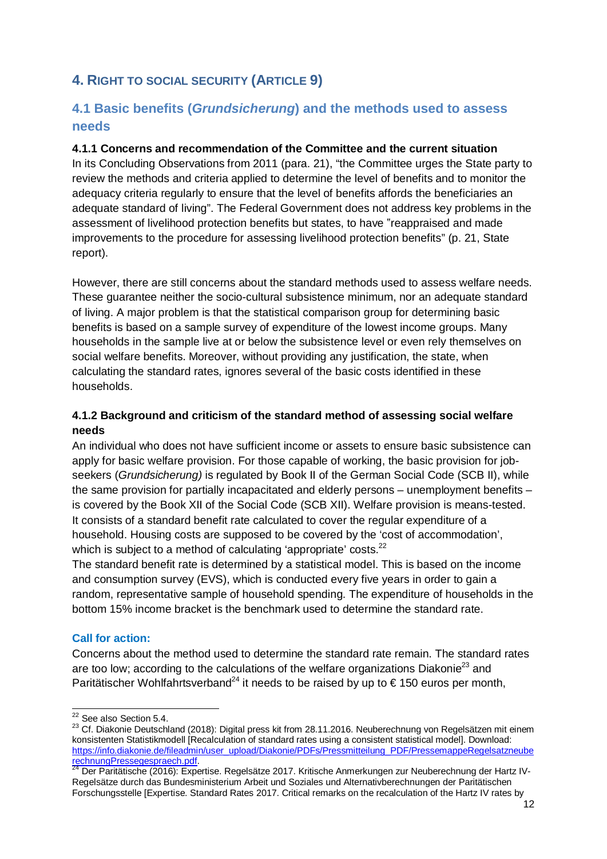# **4. RIGHT TO SOCIAL SECURITY (ARTICLE 9)**

# **4.1 Basic benefits (***Grundsicherung***) and the methods used to assess needs**

#### **4.1.1 Concerns and recommendation of the Committee and the current situation**

In its Concluding Observations from 2011 (para. 21), "the Committee urges the State party to review the methods and criteria applied to determine the level of benefits and to monitor the adequacy criteria regularly to ensure that the level of benefits affords the beneficiaries an adequate standard of living". The Federal Government does not address key problems in the assessment of livelihood protection benefits but states, to have "reappraised and made improvements to the procedure for assessing livelihood protection benefits" (p. 21, State report).

However, there are still concerns about the standard methods used to assess welfare needs. These guarantee neither the socio-cultural subsistence minimum, nor an adequate standard of living. A major problem is that the statistical comparison group for determining basic benefits is based on a sample survey of expenditure of the lowest income groups. Many households in the sample live at or below the subsistence level or even rely themselves on social welfare benefits. Moreover, without providing any justification, the state, when calculating the standard rates, ignores several of the basic costs identified in these households.

#### **4.1.2 Background and criticism of the standard method of assessing social welfare needs**

An individual who does not have sufficient income or assets to ensure basic subsistence can apply for basic welfare provision. For those capable of working, the basic provision for jobseekers (*Grundsicherung)* is regulated by Book II of the German Social Code (SCB II), while the same provision for partially incapacitated and elderly persons – unemployment benefits – is covered by the Book XII of the Social Code (SCB XII). Welfare provision is means-tested. It consists of a standard benefit rate calculated to cover the regular expenditure of a household. Housing costs are supposed to be covered by the 'cost of accommodation', which is subject to a method of calculating 'appropriate' costs.<sup>22</sup>

The standard benefit rate is determined by a statistical model. This is based on the income and consumption survey (EVS), which is conducted every five years in order to gain a random, representative sample of household spending. The expenditure of households in the bottom 15% income bracket is the benchmark used to determine the standard rate.

#### **Call for action:**

Concerns about the method used to determine the standard rate remain. The standard rates are too low; according to the calculations of the welfare organizations Diakonie<sup>23</sup> and Paritätischer Wohlfahrtsverband<sup>24</sup> it needs to be raised by up to  $\epsilon$  150 euros per month,

<sup>&</sup>lt;sup>22</sup> See also Section 5.4.

<sup>&</sup>lt;sup>23</sup> Cf. Diakonie Deutschland (2018): Digital press kit from 28.11.2016. Neuberechnung von Regelsätzen mit einem konsistenten Statistikmodell [Recalculation of standard rates using a consistent statistical model]. Download: https://info.diakonie.de/fileadmin/user\_upload/Diakonie/PDFs/Pressmitteilung\_PDF/PressemappeRegelsatzneube rechnungPressegespraech.pdf.

<sup>&</sup>lt;sup>24</sup> Der Paritätische (2016): Expertise. Regelsätze 2017. Kritische Anmerkungen zur Neuberechnung der Hartz IV-Regelsätze durch das Bundesministerium Arbeit und Soziales und Alternativberechnungen der Paritätischen Forschungsstelle [Expertise. Standard Rates 2017. Critical remarks on the recalculation of the Hartz IV rates by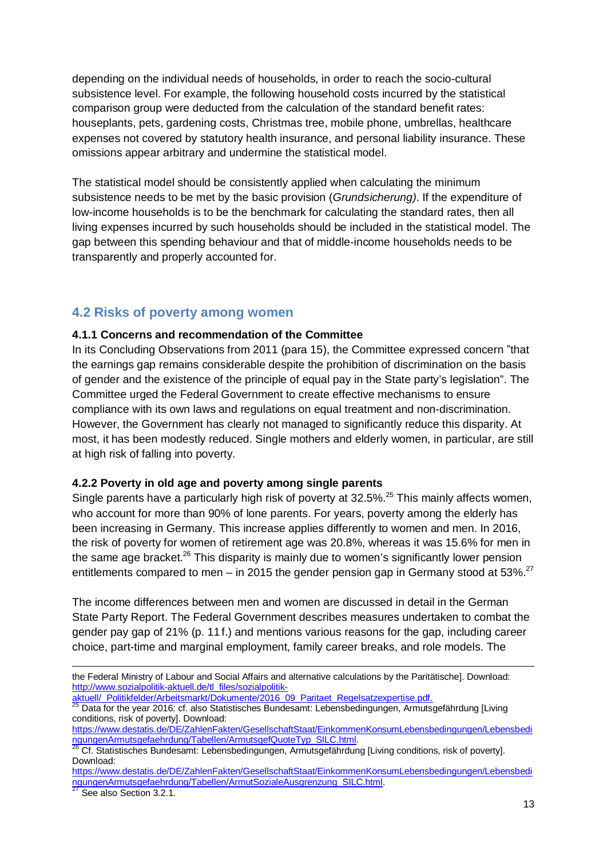depending on the individual needs of households, in order to reach the socio-cultural subsistence level. For example, the following household costs incurred by the statistical comparison group were deducted from the calculation of the standard benefit rates: houseplants, pets, gardening costs, Christmas tree, mobile phone, umbrellas, healthcare expenses not covered by statutory health insurance, and personal liability insurance. These omissions appear arbitrary and undermine the statistical model.

The statistical model should be consistently applied when calculating the minimum subsistence needs to be met by the basic provision (*Grundsicherung)*. If the expenditure of low-income households is to be the benchmark for calculating the standard rates, then all living expenses incurred by such households should be included in the statistical model. The gap between this spending behaviour and that of middle-income households needs to be transparently and properly accounted for.

# **4.2 Risks of poverty among women**

#### **4.1.1 Concerns and recommendation of the Committee**

In its Concluding Observations from 2011 (para 15), the Committee expressed concern "that the earnings gap remains considerable despite the prohibition of discrimination on the basis of gender and the existence of the principle of equal pay in the State party's legislation". The Committee urged the Federal Government to create effective mechanisms to ensure compliance with its own laws and regulations on equal treatment and non-discrimination. However, the Government has clearly not managed to significantly reduce this disparity. At most, it has been modestly reduced. Single mothers and elderly women, in particular, are still at high risk of falling into poverty.

#### **4.2.2 Poverty in old age and poverty among single parents**

Single parents have a particularly high risk of poverty at 32.5%.<sup>25</sup> This mainly affects women, who account for more than 90% of lone parents. For years, poverty among the elderly has been increasing in Germany. This increase applies differently to women and men. In 2016, the risk of poverty for women of retirement age was 20.8%, whereas it was 15.6% for men in the same age bracket.<sup>26</sup> This disparity is mainly due to women's significantly lower pension entitlements compared to men – in 2015 the gender pension gap in Germany stood at 53%.<sup>27</sup>

The income differences between men and women are discussed in detail in the German State Party Report. The Federal Government describes measures undertaken to combat the gender pay gap of 21% (p. 11 f.) and mentions various reasons for the gap, including career choice, part-time and marginal employment, family career breaks, and role models. The

the Federal Ministry of Labour and Social Affairs and alternative calculations by the Paritätische]. Download: http://www.sozialpolitik-aktuell.de/tl\_files/sozialpolitik-

aktuell/\_Politikfelder/Arbeitsmarkt/Dokumente/2016\_09\_Paritaet\_Regelsatzexpertise.pdf.

<sup>25</sup> Data for the year 2016: cf. also Statistisches Bundesamt: Lebensbedingungen, Armutsgefährdung [Living conditions, risk of poverty]. Download:

https://www.destatis.de/DE/ZahlenFakten/GesellschaftStaat/EinkommenKonsumLebensbedingungen/Lebensbedi ngungenArmutsgefaehrdung/Tabellen/ArmutsgefQuoteTyp\_SILC.html.

<sup>26</sup> Cf. Statistisches Bundesamt: Lebensbedingungen, Armutsgefährdung [Living conditions, risk of poverty]. Download:

https://www.destatis.de/DE/ZahlenFakten/GesellschaftStaat/EinkommenKonsumLebensbedingungen/Lebensbedi ngungenArmutsgefaehrdung/Tabellen/ArmutSozialeAusgrenzung\_SILC.html.

See also Section 3.2.1.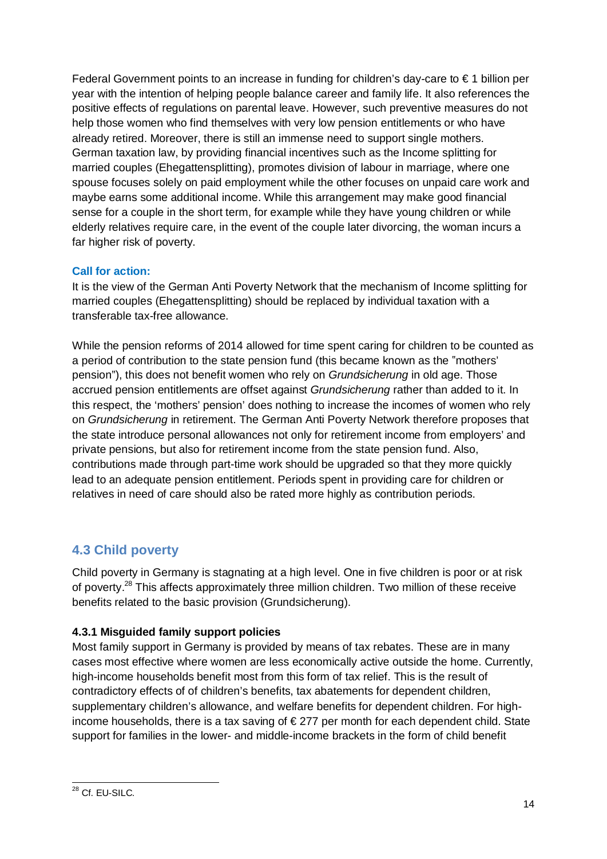Federal Government points to an increase in funding for children's day-care to  $\epsilon$  1 billion per year with the intention of helping people balance career and family life. It also references the positive effects of regulations on parental leave. However, such preventive measures do not help those women who find themselves with very low pension entitlements or who have already retired. Moreover, there is still an immense need to support single mothers. German taxation law, by providing financial incentives such as the Income splitting for married couples (Ehegattensplitting), promotes division of labour in marriage, where one spouse focuses solely on paid employment while the other focuses on unpaid care work and maybe earns some additional income. While this arrangement may make good financial sense for a couple in the short term, for example while they have young children or while elderly relatives require care, in the event of the couple later divorcing, the woman incurs a far higher risk of poverty.

## **Call for action:**

It is the view of the German Anti Poverty Network that the mechanism of Income splitting for married couples (Ehegattensplitting) should be replaced by individual taxation with a transferable tax-free allowance.

While the pension reforms of 2014 allowed for time spent caring for children to be counted as a period of contribution to the state pension fund (this became known as the "mothers' pension"), this does not benefit women who rely on *Grundsicherung* in old age. Those accrued pension entitlements are offset against *Grundsicherung* rather than added to it. In this respect, the 'mothers' pension' does nothing to increase the incomes of women who rely on *Grundsicherung* in retirement. The German Anti Poverty Network therefore proposes that the state introduce personal allowances not only for retirement income from employers' and private pensions, but also for retirement income from the state pension fund. Also, contributions made through part-time work should be upgraded so that they more quickly lead to an adequate pension entitlement. Periods spent in providing care for children or relatives in need of care should also be rated more highly as contribution periods.

# **4.3 Child poverty**

Child poverty in Germany is stagnating at a high level. One in five children is poor or at risk of poverty.<sup>28</sup> This affects approximately three million children. Two million of these receive benefits related to the basic provision (Grundsicherung).

## **4.3.1 Misguided family support policies**

Most family support in Germany is provided by means of tax rebates. These are in many cases most effective where women are less economically active outside the home. Currently, high-income households benefit most from this form of tax relief. This is the result of contradictory effects of of children's benefits, tax abatements for dependent children, supplementary children's allowance, and welfare benefits for dependent children. For highincome households, there is a tax saving of € 277 per month for each dependent child. State support for families in the lower- and middle-income brackets in the form of child benefit

<sup>&</sup>lt;sup>28</sup> Cf. EU-SILC.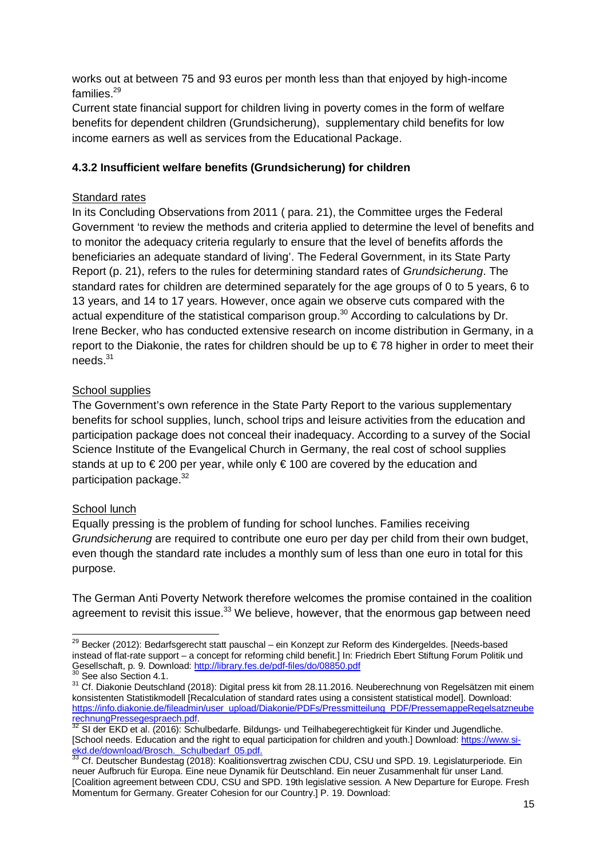works out at between 75 and 93 euros per month less than that enjoyed by high-income families.<sup>29</sup>

Current state financial support for children living in poverty comes in the form of welfare benefits for dependent children (Grundsicherung), supplementary child benefits for low income earners as well as services from the Educational Package.

## **4.3.2 Insufficient welfare benefits (Grundsicherung) for children**

## Standard rates

In its Concluding Observations from 2011 ( para. 21), the Committee urges the Federal Government 'to review the methods and criteria applied to determine the level of benefits and to monitor the adequacy criteria regularly to ensure that the level of benefits affords the beneficiaries an adequate standard of living'. The Federal Government, in its State Party Report (p. 21), refers to the rules for determining standard rates of *Grundsicherung*. The standard rates for children are determined separately for the age groups of 0 to 5 years, 6 to 13 years, and 14 to 17 years. However, once again we observe cuts compared with the actual expenditure of the statistical comparison group.<sup>30</sup> According to calculations by Dr. Irene Becker, who has conducted extensive research on income distribution in Germany, in a report to the Diakonie, the rates for children should be up to € 78 higher in order to meet their needs.<sup>31</sup>

## School supplies

The Government's own reference in the State Party Report to the various supplementary benefits for school supplies, lunch, school trips and leisure activities from the education and participation package does not conceal their inadequacy. According to a survey of the Social Science Institute of the Evangelical Church in Germany, the real cost of school supplies stands at up to €200 per year, while only €100 are covered by the education and participation package.<sup>32</sup>

#### School lunch

Equally pressing is the problem of funding for school lunches. Families receiving *Grundsicherung* are required to contribute one euro per day per child from their own budget, even though the standard rate includes a monthly sum of less than one euro in total for this purpose.

The German Anti Poverty Network therefore welcomes the promise contained in the coalition agreement to revisit this issue.<sup>33</sup> We believe, however, that the enormous gap between need

<sup>&</sup>lt;sup>29</sup> Becker (2012): Bedarfsgerecht statt pauschal – ein Konzept zur Reform des Kindergeldes. [Needs-based] instead of flat-rate support – a concept for reforming child benefit.] In: Friedrich Ebert Stiftung Forum Politik und Gesellschaft, p. 9. Download: http://library.fes.de/pdf-files/do/08850.pdf

 $^0$  See also Section 4.1.

<sup>31</sup> Cf. Diakonie Deutschland (2018): Digital press kit from 28.11.2016. Neuberechnung von Regelsätzen mit einem konsistenten Statistikmodell [Recalculation of standard rates using a consistent statistical model]. Download: https://info.diakonie.de/fileadmin/user\_upload/Diakonie/PDFs/Pressmitteilung\_PDF/PressemappeRegelsatzneube rechnungPressegespraech.pdf.<br>32 St der F<sup>17</sup>C

<sup>32</sup> SI der EKD et al. (2016): Schulbedarfe. Bildungs- und Teilhabegerechtigkeit für Kinder und Jugendliche. [School needs. Education and the right to equal participation for children and youth.] Download: https://www.siekd.de/download/Brosch. Schulbedarf 05.pdf.

 $33$  Cf. Deutscher Bundestag (2018): Koalitionsvertrag zwischen CDU, CSU und SPD. 19. Legislaturperiode. Ein neuer Aufbruch für Europa. Eine neue Dynamik für Deutschland. Ein neuer Zusammenhalt für unser Land. [Coalition agreement between CDU, CSU and SPD. 19th legislative session. A New Departure for Europe. Fresh Momentum for Germany. Greater Cohesion for our Country.] P. 19. Download: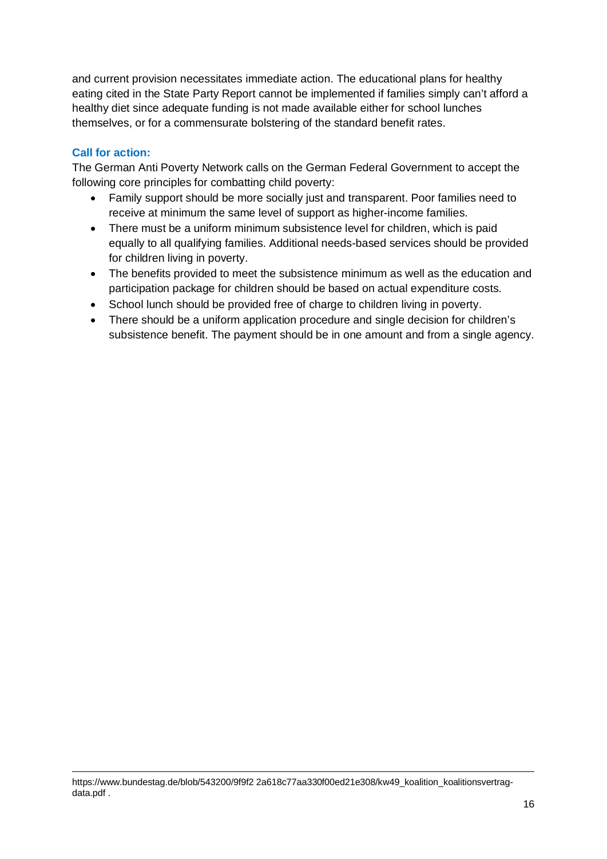and current provision necessitates immediate action. The educational plans for healthy eating cited in the State Party Report cannot be implemented if families simply can't afford a healthy diet since adequate funding is not made available either for school lunches themselves, or for a commensurate bolstering of the standard benefit rates.

#### **Call for action:**

The German Anti Poverty Network calls on the German Federal Government to accept the following core principles for combatting child poverty:

- · Family support should be more socially just and transparent. Poor families need to receive at minimum the same level of support as higher-income families.
- · There must be a uniform minimum subsistence level for children, which is paid equally to all qualifying families. Additional needs-based services should be provided for children living in poverty.
- · The benefits provided to meet the subsistence minimum as well as the education and participation package for children should be based on actual expenditure costs.
- · School lunch should be provided free of charge to children living in poverty.
- · There should be a uniform application procedure and single decision for children's subsistence benefit. The payment should be in one amount and from a single agency.

https://www.bundestag.de/blob/543200/9f9f2 2a618c77aa330f00ed21e308/kw49\_koalition\_koalitionsvertragdata.pdf .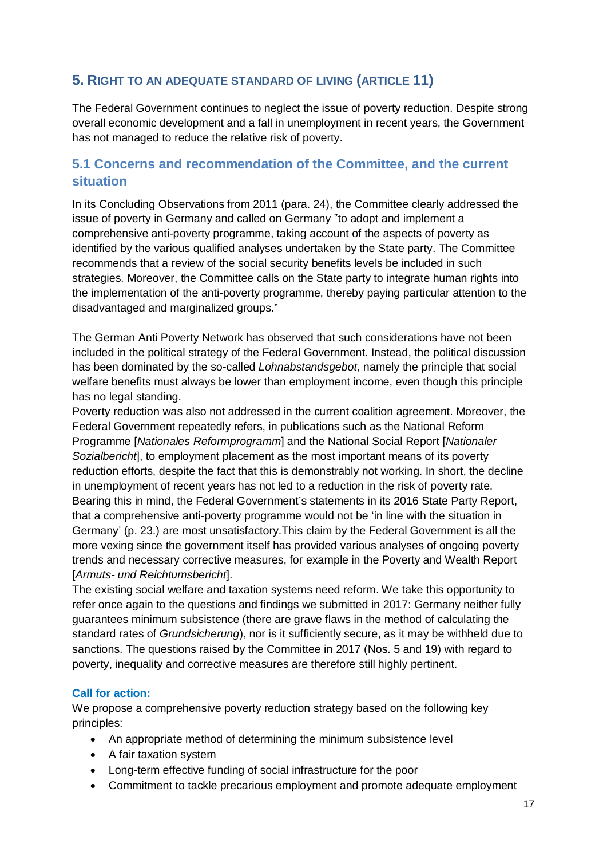# **5. RIGHT TO AN ADEQUATE STANDARD OF LIVING (ARTICLE 11)**

The Federal Government continues to neglect the issue of poverty reduction. Despite strong overall economic development and a fall in unemployment in recent years, the Government has not managed to reduce the relative risk of poverty.

# **5.1 Concerns and recommendation of the Committee, and the current situation**

In its Concluding Observations from 2011 (para. 24), the Committee clearly addressed the issue of poverty in Germany and called on Germany "to adopt and implement a comprehensive anti-poverty programme, taking account of the aspects of poverty as identified by the various qualified analyses undertaken by the State party. The Committee recommends that a review of the social security benefits levels be included in such strategies. Moreover, the Committee calls on the State party to integrate human rights into the implementation of the anti-poverty programme, thereby paying particular attention to the disadvantaged and marginalized groups."

The German Anti Poverty Network has observed that such considerations have not been included in the political strategy of the Federal Government. Instead, the political discussion has been dominated by the so-called *Lohnabstandsgebot*, namely the principle that social welfare benefits must always be lower than employment income, even though this principle has no legal standing.

Poverty reduction was also not addressed in the current coalition agreement. Moreover, the Federal Government repeatedly refers, in publications such as the National Reform Programme [*Nationales Reformprogramm*] and the National Social Report [*Nationaler Sozialbericht*], to employment placement as the most important means of its poverty reduction efforts, despite the fact that this is demonstrably not working. In short, the decline in unemployment of recent years has not led to a reduction in the risk of poverty rate. Bearing this in mind, the Federal Government's statements in its 2016 State Party Report, that a comprehensive anti-poverty programme would not be 'in line with the situation in Germany' (p. 23.) are most unsatisfactory.This claim by the Federal Government is all the more vexing since the government itself has provided various analyses of ongoing poverty trends and necessary corrective measures, for example in the Poverty and Wealth Report [*Armuts- und Reichtumsbericht*].

The existing social welfare and taxation systems need reform. We take this opportunity to refer once again to the questions and findings we submitted in 2017: Germany neither fully guarantees minimum subsistence (there are grave flaws in the method of calculating the standard rates of *Grundsicherung*), nor is it sufficiently secure, as it may be withheld due to sanctions. The questions raised by the Committee in 2017 (Nos. 5 and 19) with regard to poverty, inequality and corrective measures are therefore still highly pertinent.

#### **Call for action:**

We propose a comprehensive poverty reduction strategy based on the following key principles:

- · An appropriate method of determining the minimum subsistence level
- · A fair taxation system
- · Long-term effective funding of social infrastructure for the poor
- · Commitment to tackle precarious employment and promote adequate employment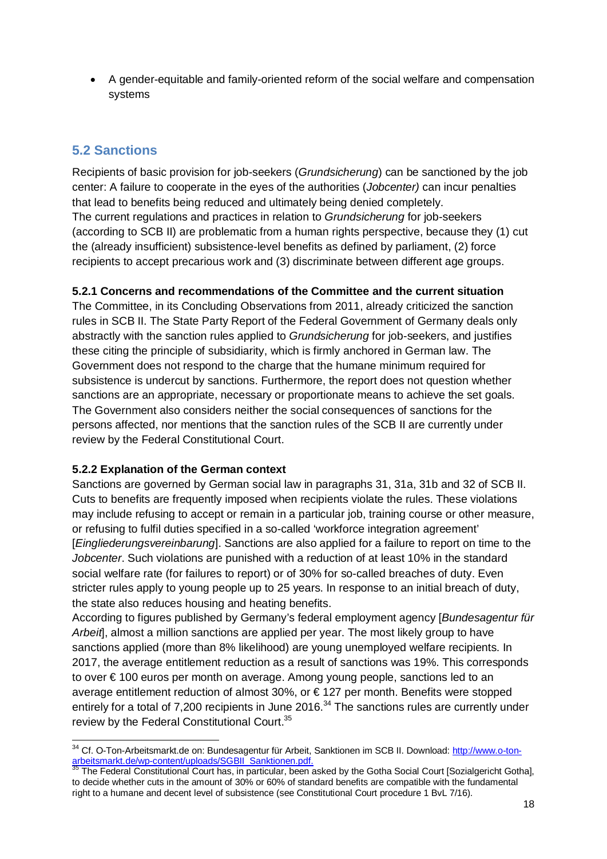· A gender-equitable and family-oriented reform of the social welfare and compensation systems

# **5.2 Sanctions**

Recipients of basic provision for job-seekers (*Grundsicherung*) can be sanctioned by the job center: A failure to cooperate in the eyes of the authorities (*Jobcenter)* can incur penalties that lead to benefits being reduced and ultimately being denied completely. The current regulations and practices in relation to *Grundsicherung* for job-seekers (according to SCB II) are problematic from a human rights perspective, because they (1) cut the (already insufficient) subsistence-level benefits as defined by parliament, (2) force recipients to accept precarious work and (3) discriminate between different age groups.

## **5.2.1 Concerns and recommendations of the Committee and the current situation**

The Committee, in its Concluding Observations from 2011, already criticized the sanction rules in SCB II. The State Party Report of the Federal Government of Germany deals only abstractly with the sanction rules applied to *Grundsicherung* for job-seekers, and justifies these citing the principle of subsidiarity, which is firmly anchored in German law. The Government does not respond to the charge that the humane minimum required for subsistence is undercut by sanctions. Furthermore, the report does not question whether sanctions are an appropriate, necessary or proportionate means to achieve the set goals. The Government also considers neither the social consequences of sanctions for the persons affected, nor mentions that the sanction rules of the SCB II are currently under review by the Federal Constitutional Court.

#### **5.2.2 Explanation of the German context**

Sanctions are governed by German social law in paragraphs 31, 31a, 31b and 32 of SCB II. Cuts to benefits are frequently imposed when recipients violate the rules. These violations may include refusing to accept or remain in a particular job, training course or other measure, or refusing to fulfil duties specified in a so-called 'workforce integration agreement' [*Eingliederungsvereinbarung*]. Sanctions are also applied for a failure to report on time to the *Jobcenter*. Such violations are punished with a reduction of at least 10% in the standard social welfare rate (for failures to report) or of 30% for so-called breaches of duty. Even stricter rules apply to young people up to 25 years. In response to an initial breach of duty, the state also reduces housing and heating benefits.

According to figures published by Germany's federal employment agency [*Bundesagentur für Arbeit*], almost a million sanctions are applied per year. The most likely group to have sanctions applied (more than 8% likelihood) are young unemployed welfare recipients. In 2017, the average entitlement reduction as a result of sanctions was 19%. This corresponds to over € 100 euros per month on average. Among young people, sanctions led to an average entitlement reduction of almost 30%, or € 127 per month. Benefits were stopped entirely for a total of  $7,200$  recipients in June 2016.<sup>34</sup> The sanctions rules are currently under review by the Federal Constitutional Court.<sup>35</sup>

<sup>&</sup>lt;sup>34</sup> Cf. O-Ton-Arbeitsmarkt.de on: Bundesagentur für Arbeit, Sanktionen im SCB II. Download: http://www.o-tonarbeitsmarkt.de/wp-content/uploads/SGBII\_Sanktionen.pdf.

<sup>35</sup> The Federal Constitutional Court has, in particular, been asked by the Gotha Social Court [Sozialgericht Gotha], to decide whether cuts in the amount of 30% or 60% of standard benefits are compatible with the fundamental right to a humane and decent level of subsistence (see Constitutional Court procedure 1 BvL 7/16).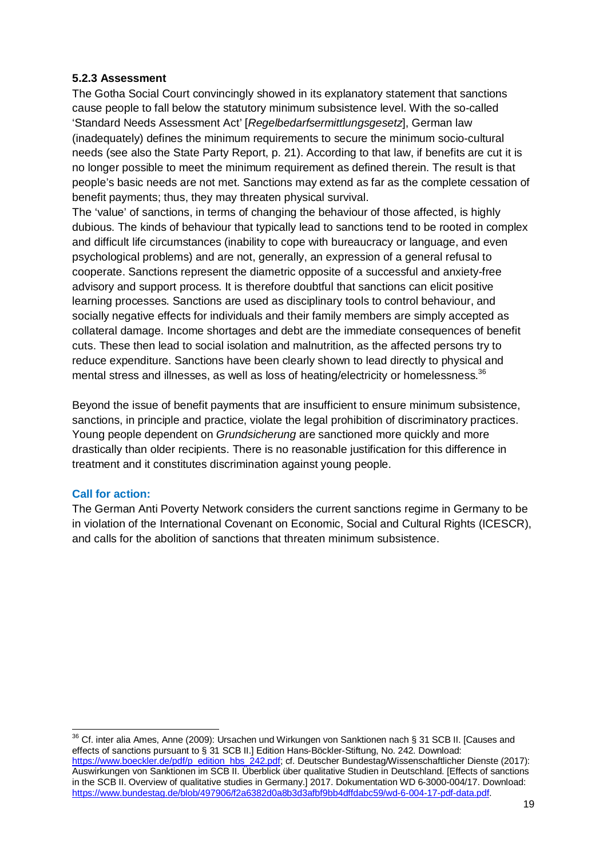#### **5.2.3 Assessment**

The Gotha Social Court convincingly showed in its explanatory statement that sanctions cause people to fall below the statutory minimum subsistence level. With the so-called 'Standard Needs Assessment Act' [*Regelbedarfsermittlungsgesetz*], German law (inadequately) defines the minimum requirements to secure the minimum socio-cultural needs (see also the State Party Report, p. 21). According to that law, if benefits are cut it is no longer possible to meet the minimum requirement as defined therein. The result is that people's basic needs are not met. Sanctions may extend as far as the complete cessation of benefit payments; thus, they may threaten physical survival.

The 'value' of sanctions, in terms of changing the behaviour of those affected, is highly dubious. The kinds of behaviour that typically lead to sanctions tend to be rooted in complex and difficult life circumstances (inability to cope with bureaucracy or language, and even psychological problems) and are not, generally, an expression of a general refusal to cooperate. Sanctions represent the diametric opposite of a successful and anxiety-free advisory and support process. It is therefore doubtful that sanctions can elicit positive learning processes. Sanctions are used as disciplinary tools to control behaviour, and socially negative effects for individuals and their family members are simply accepted as collateral damage. Income shortages and debt are the immediate consequences of benefit cuts. These then lead to social isolation and malnutrition, as the affected persons try to reduce expenditure. Sanctions have been clearly shown to lead directly to physical and mental stress and illnesses, as well as loss of heating/electricity or homelessness.<sup>36</sup>

Beyond the issue of benefit payments that are insufficient to ensure minimum subsistence, sanctions, in principle and practice, violate the legal prohibition of discriminatory practices. Young people dependent on *Grundsicherung* are sanctioned more quickly and more drastically than older recipients. There is no reasonable justification for this difference in treatment and it constitutes discrimination against young people.

#### **Call for action:**

The German Anti Poverty Network considers the current sanctions regime in Germany to be in violation of the International Covenant on Economic, Social and Cultural Rights (ICESCR), and calls for the abolition of sanctions that threaten minimum subsistence.

 $\overline{{}^{36}$  Cf. inter alia Ames, Anne (2009): Ursachen und Wirkungen von Sanktionen nach § 31 SCB II. [Causes and effects of sanctions pursuant to § 31 SCB II.] Edition Hans-Böckler-Stiftung, No. 242. Download: https://www.boeckler.de/pdf/p\_edition\_hbs\_242.pdf; cf. Deutscher Bundestag/Wissenschaftlicher Dienste (2017): Auswirkungen von Sanktionen im SCB II. Überblick über qualitative Studien in Deutschland. [Effects of sanctions in the SCB II. Overview of qualitative studies in Germany.] 2017. Dokumentation WD 6-3000-004/17. Download: https://www.bundestag.de/blob/497906/f2a6382d0a8b3d3afbf9bb4dffdabc59/wd-6-004-17-pdf-data.pdf.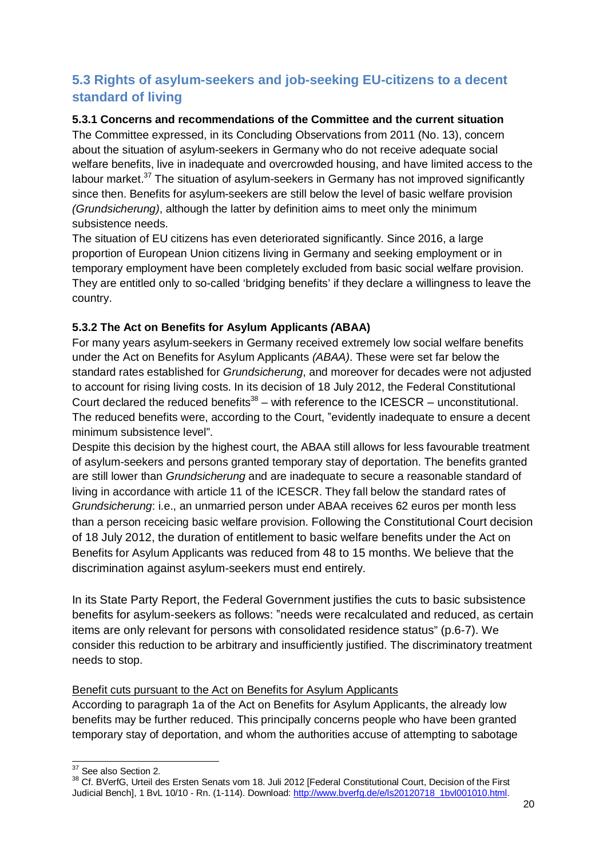# **5.3 Rights of asylum-seekers and job-seeking EU-citizens to a decent standard of living**

#### **5.3.1 Concerns and recommendations of the Committee and the current situation**

The Committee expressed, in its Concluding Observations from 2011 (No. 13), concern about the situation of asylum-seekers in Germany who do not receive adequate social welfare benefits, live in inadequate and overcrowded housing, and have limited access to the labour market.<sup>37</sup> The situation of asylum-seekers in Germany has not improved significantly since then. Benefits for asylum-seekers are still below the level of basic welfare provision *(Grundsicherung)*, although the latter by definition aims to meet only the minimum subsistence needs.

The situation of EU citizens has even deteriorated significantly. Since 2016, a large proportion of European Union citizens living in Germany and seeking employment or in temporary employment have been completely excluded from basic social welfare provision. They are entitled only to so-called 'bridging benefits' if they declare a willingness to leave the country.

## **5.3.2 The Act on Benefits for Asylum Applicants** *(***ABAA)**

For many years asylum-seekers in Germany received extremely low social welfare benefits under the Act on Benefits for Asylum Applicants *(ABAA)*. These were set far below the standard rates established for *Grundsicherung*, and moreover for decades were not adjusted to account for rising living costs. In its decision of 18 July 2012, the Federal Constitutional Court declared the reduced benefits<sup>38</sup> – with reference to the ICESCR – unconstitutional. The reduced benefits were, according to the Court, "evidently inadequate to ensure a decent minimum subsistence level".

Despite this decision by the highest court, the ABAA still allows for less favourable treatment of asylum-seekers and persons granted temporary stay of deportation. The benefits granted are still lower than *Grundsicherung* and are inadequate to secure a reasonable standard of living in accordance with article 11 of the ICESCR. They fall below the standard rates of *Grundsicherung*: i.e., an unmarried person under ABAA receives 62 euros per month less than a person receicing basic welfare provision. Following the Constitutional Court decision of 18 July 2012, the duration of entitlement to basic welfare benefits under the Act on Benefits for Asylum Applicants was reduced from 48 to 15 months. We believe that the discrimination against asylum-seekers must end entirely.

In its State Party Report, the Federal Government justifies the cuts to basic subsistence benefits for asylum-seekers as follows: "needs were recalculated and reduced, as certain items are only relevant for persons with consolidated residence status" (p.6-7). We consider this reduction to be arbitrary and insufficiently justified. The discriminatory treatment needs to stop.

#### Benefit cuts pursuant to the Act on Benefits for Asylum Applicants

According to paragraph 1a of the Act on Benefits for Asylum Applicants, the already low benefits may be further reduced. This principally concerns people who have been granted temporary stay of deportation, and whom the authorities accuse of attempting to sabotage

<sup>&</sup>lt;sup>37</sup> See also Section 2.

<sup>38</sup> Cf. BVerfG, Urteil des Ersten Senats vom 18. Juli 2012 [Federal Constitutional Court, Decision of the First Judicial Bench], 1 BvL 10/10 - Rn. (1-114). Download: http://www.bverfg.de/e/ls20120718\_1bvl001010.html.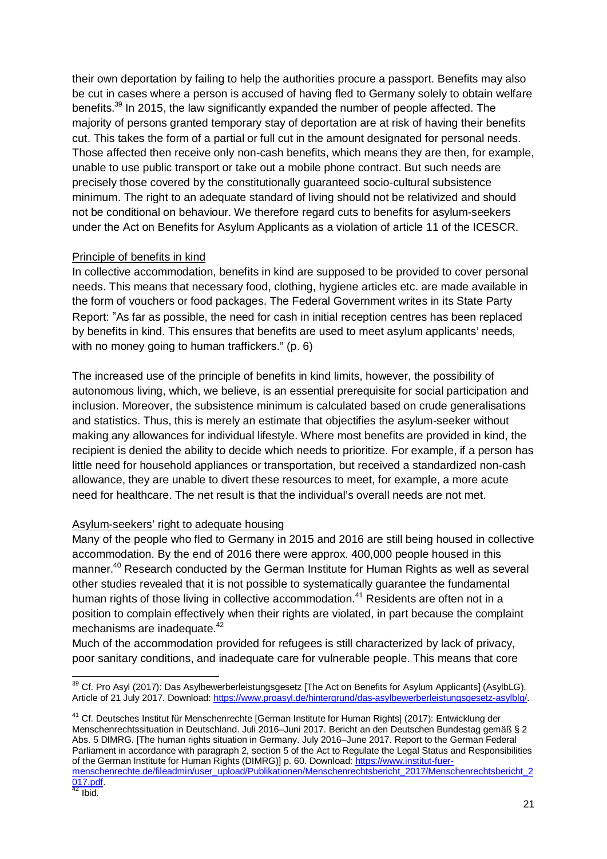their own deportation by failing to help the authorities procure a passport. Benefits may also be cut in cases where a person is accused of having fled to Germany solely to obtain welfare benefits.<sup>39</sup> In 2015, the law significantly expanded the number of people affected. The majority of persons granted temporary stay of deportation are at risk of having their benefits cut. This takes the form of a partial or full cut in the amount designated for personal needs. Those affected then receive only non-cash benefits, which means they are then, for example, unable to use public transport or take out a mobile phone contract. But such needs are precisely those covered by the constitutionally guaranteed socio-cultural subsistence minimum. The right to an adequate standard of living should not be relativized and should not be conditional on behaviour. We therefore regard cuts to benefits for asylum-seekers under the Act on Benefits for Asylum Applicants as a violation of article 11 of the ICESCR.

#### Principle of benefits in kind

In collective accommodation, benefits in kind are supposed to be provided to cover personal needs. This means that necessary food, clothing, hygiene articles etc. are made available in the form of vouchers or food packages. The Federal Government writes in its State Party Report: "As far as possible, the need for cash in initial reception centres has been replaced by benefits in kind. This ensures that benefits are used to meet asylum applicants' needs, with no money going to human traffickers." (p. 6)

The increased use of the principle of benefits in kind limits, however, the possibility of autonomous living, which, we believe, is an essential prerequisite for social participation and inclusion. Moreover, the subsistence minimum is calculated based on crude generalisations and statistics. Thus, this is merely an estimate that objectifies the asylum-seeker without making any allowances for individual lifestyle. Where most benefits are provided in kind, the recipient is denied the ability to decide which needs to prioritize. For example, if a person has little need for household appliances or transportation, but received a standardized non-cash allowance, they are unable to divert these resources to meet, for example, a more acute need for healthcare. The net result is that the individual's overall needs are not met.

#### Asylum-seekers' right to adequate housing

Many of the people who fled to Germany in 2015 and 2016 are still being housed in collective accommodation. By the end of 2016 there were approx. 400,000 people housed in this manner.<sup>40</sup> Research conducted by the German Institute for Human Rights as well as several other studies revealed that it is not possible to systematically guarantee the fundamental human rights of those living in collective accommodation.<sup>41</sup> Residents are often not in a position to complain effectively when their rights are violated, in part because the complaint mechanisms are inadequate.<sup>42</sup>

Much of the accommodation provided for refugees is still characterized by lack of privacy, poor sanitary conditions, and inadequate care for vulnerable people. This means that core

<sup>41</sup> Cf. Deutsches Institut für Menschenrechte [German Institute for Human Rights] (2017): Entwicklung der Menschenrechtssituation in Deutschland. Juli 2016–Juni 2017. Bericht an den Deutschen Bundestag gemäß § 2 Abs. 5 DIMRG. [The human rights situation in Germany. July 2016–June 2017. Report to the German Federal Parliament in accordance with paragraph 2, section 5 of the Act to Regulate the Legal Status and Responsibilities of the German Institute for Human Rights (DIMRG)] p. 60. Download: https://www.institut-fuermenschenrechte.de/fileadmin/user\_upload/Publikationen/Menschenrechtsbericht\_2017/Menschenrechtsbericht\_2

<sup>&</sup>lt;sup>39</sup> Cf. Pro Asyl (2017): Das Asylbewerberleistungsgesetz [The Act on Benefits for Asylum Applicants] (AsylbLG). Article of 21 July 2017. Download: https://www.proasyl.de/hintergrund/das-asylbewerberleistungsgesetz-asylblg/.

<sup>017.</sup>pdf.

 $42$  Ibid.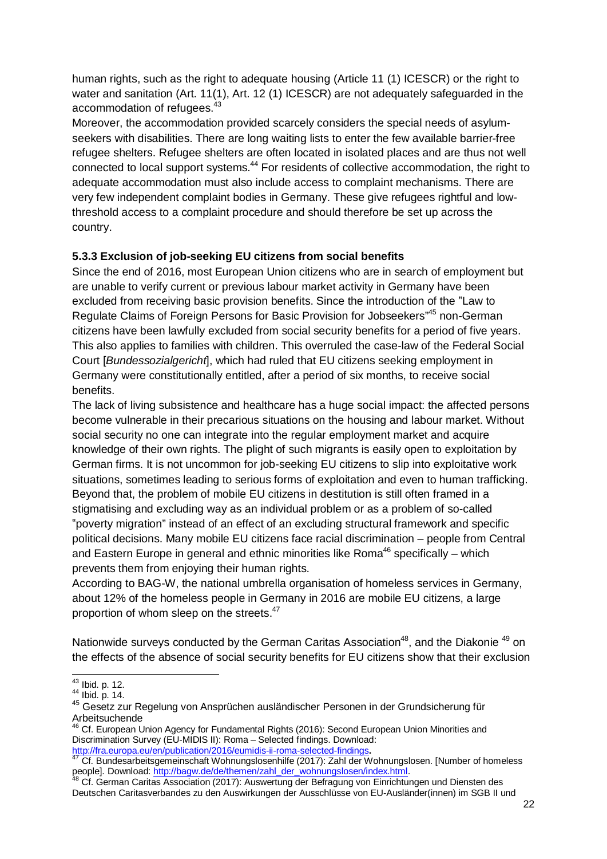human rights, such as the right to adequate housing (Article 11 (1) ICESCR) or the right to water and sanitation (Art. 11(1), Art. 12 (1) ICESCR) are not adequately safeguarded in the accommodation of refugees.<sup>43</sup>

Moreover, the accommodation provided scarcely considers the special needs of asylumseekers with disabilities. There are long waiting lists to enter the few available barrier-free refugee shelters. Refugee shelters are often located in isolated places and are thus not well connected to local support systems.<sup>44</sup> For residents of collective accommodation, the right to adequate accommodation must also include access to complaint mechanisms. There are very few independent complaint bodies in Germany. These give refugees rightful and lowthreshold access to a complaint procedure and should therefore be set up across the country.

## **5.3.3 Exclusion of job-seeking EU citizens from social benefits**

Since the end of 2016, most European Union citizens who are in search of employment but are unable to verify current or previous labour market activity in Germany have been excluded from receiving basic provision benefits. Since the introduction of the "Law to Regulate Claims of Foreign Persons for Basic Provision for Jobseekers"<sup>45</sup> non-German citizens have been lawfully excluded from social security benefits for a period of five years. This also applies to families with children. This overruled the case-law of the Federal Social Court [*Bundessozialgericht*], which had ruled that EU citizens seeking employment in Germany were constitutionally entitled, after a period of six months, to receive social benefits.

The lack of living subsistence and healthcare has a huge social impact: the affected persons become vulnerable in their precarious situations on the housing and labour market. Without social security no one can integrate into the regular employment market and acquire knowledge of their own rights. The plight of such migrants is easily open to exploitation by German firms. It is not uncommon for job-seeking EU citizens to slip into exploitative work situations, sometimes leading to serious forms of exploitation and even to human trafficking. Beyond that, the problem of mobile EU citizens in destitution is still often framed in a stigmatising and excluding way as an individual problem or as a problem of so-called "poverty migration" instead of an effect of an excluding structural framework and specific political decisions. Many mobile EU citizens face racial discrimination – people from Central and Eastern Europe in general and ethnic minorities like Roma<sup>46</sup> specifically – which prevents them from enjoying their human rights.

According to BAG-W, the national umbrella organisation of homeless services in Germany, about 12% of the homeless people in Germany in 2016 are mobile EU citizens, a large proportion of whom sleep on the streets.<sup>47</sup>

Nationwide surveys conducted by the German Caritas Association<sup>48</sup>, and the Diakonie<sup>49</sup> on the effects of the absence of social security benefits for EU citizens show that their exclusion

<sup>43</sup> Ibid. p. 12.

 $44$  Ibid. p. 14.

<sup>45</sup> Gesetz zur Regelung von Ansprüchen ausländischer Personen in der Grundsicherung für Arbeitsuchende

 $^{46}$  Cf. European Union Agency for Fundamental Rights (2016): Second European Union Minorities and Discrimination Survey (EU-MIDIS II): Roma - Selected findings. Download: http://fra.europa.eu/en/publication/2016/eumidis-ii-roma-selected-findings**.**

<sup>&</sup>lt;sup>47</sup> Cf. Bundesarbeitsgemeinschaft Wohnungslosenhilfe (2017): Zahl der Wohnungslosen. [Number of homeless people]. Download: http://bagw.de/de/themen/zahl\_der\_wohnungslosen/index.html.

<sup>&</sup>lt;sup>48</sup> Cf. German Caritas Association (2017): Auswertung der Befragung von Einrichtungen und Diensten des Deutschen Caritasverbandes zu den Auswirkungen der Ausschlüsse von EU-Ausländer(innen) im SGB II und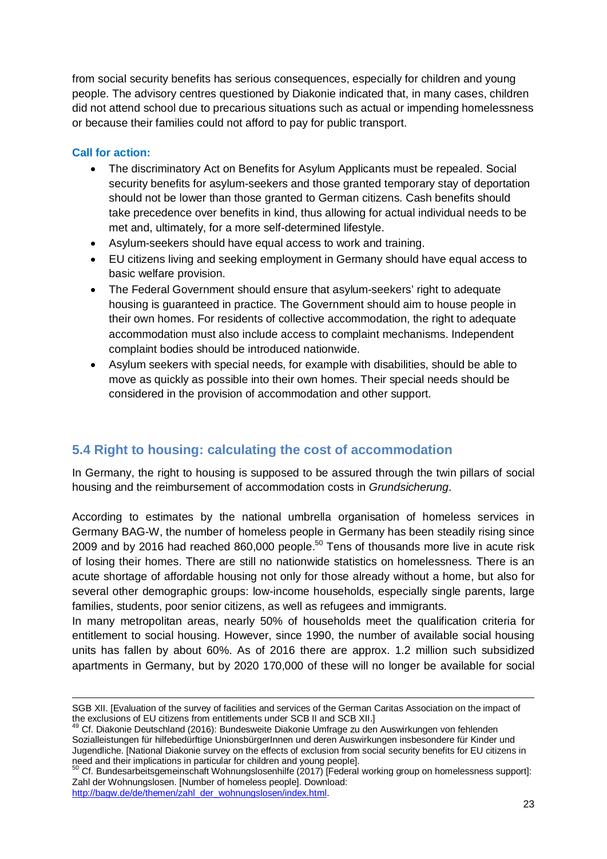from social security benefits has serious consequences, especially for children and young people. The advisory centres questioned by Diakonie indicated that, in many cases, children did not attend school due to precarious situations such as actual or impending homelessness or because their families could not afford to pay for public transport.

#### **Call for action:**

- · The discriminatory Act on Benefits for Asylum Applicants must be repealed. Social security benefits for asylum-seekers and those granted temporary stay of deportation should not be lower than those granted to German citizens. Cash benefits should take precedence over benefits in kind, thus allowing for actual individual needs to be met and, ultimately, for a more self-determined lifestyle.
- · Asylum-seekers should have equal access to work and training.
- · EU citizens living and seeking employment in Germany should have equal access to basic welfare provision.
- · The Federal Government should ensure that asylum-seekers' right to adequate housing is guaranteed in practice. The Government should aim to house people in their own homes. For residents of collective accommodation, the right to adequate accommodation must also include access to complaint mechanisms. Independent complaint bodies should be introduced nationwide.
- · Asylum seekers with special needs, for example with disabilities, should be able to move as quickly as possible into their own homes. Their special needs should be considered in the provision of accommodation and other support.

# **5.4 Right to housing: calculating the cost of accommodation**

In Germany, the right to housing is supposed to be assured through the twin pillars of social housing and the reimbursement of accommodation costs in *Grundsicherung*.

According to estimates by the national umbrella organisation of homeless services in Germany BAG-W, the number of homeless people in Germany has been steadily rising since 2009 and by 2016 had reached 860,000 people.<sup>50</sup> Tens of thousands more live in acute risk of losing their homes. There are still no nationwide statistics on homelessness. There is an acute shortage of affordable housing not only for those already without a home, but also for several other demographic groups: low-income households, especially single parents, large families, students, poor senior citizens, as well as refugees and immigrants.

In many metropolitan areas, nearly 50% of households meet the qualification criteria for entitlement to social housing. However, since 1990, the number of available social housing units has fallen by about 60%. As of 2016 there are approx. 1.2 million such subsidized apartments in Germany, but by 2020 170,000 of these will no longer be available for social

<sup>50</sup> Cf. Bundesarbeitsgemeinschaft Wohnungslosenhilfe (2017) [Federal working group on homelessness support]: Zahl der Wohnungslosen. [Number of homeless people]. Download:

http://bagw.de/de/themen/zahl\_der\_wohnungslosen/index.html.

SGB XII. [Evaluation of the survey of facilities and services of the German Caritas Association on the impact of the exclusions of EU citizens from entitlements under SCB II and SCB XII.]

<sup>&</sup>lt;sup>49</sup> Cf. Diakonie Deutschland (2016): Bundesweite Diakonie Umfrage zu den Auswirkungen von fehlenden Sozialleistungen für hilfebedürftige UnionsbürgerInnen und deren Auswirkungen insbesondere für Kinder und Jugendliche. [National Diakonie survey on the effects of exclusion from social security benefits for EU citizens in need and their implications in particular for children and young people].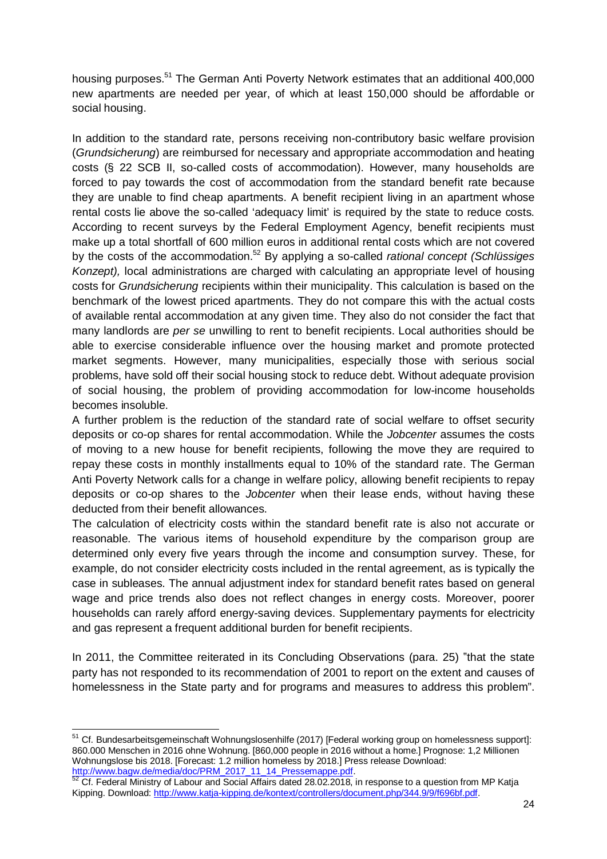housing purposes.<sup>51</sup> The German Anti Poverty Network estimates that an additional 400,000 new apartments are needed per year, of which at least 150,000 should be affordable or social housing.

In addition to the standard rate, persons receiving non-contributory basic welfare provision (*Grundsicherung*) are reimbursed for necessary and appropriate accommodation and heating costs (§ 22 SCB II, so-called costs of accommodation). However, many households are forced to pay towards the cost of accommodation from the standard benefit rate because they are unable to find cheap apartments. A benefit recipient living in an apartment whose rental costs lie above the so-called 'adequacy limit' is required by the state to reduce costs. According to recent surveys by the Federal Employment Agency, benefit recipients must make up a total shortfall of 600 million euros in additional rental costs which are not covered by the costs of the accommodation.<sup>52</sup> By applying a so-called *rational concept (Schlüssiges Konzept),* local administrations are charged with calculating an appropriate level of housing costs for *Grundsicherung* recipients within their municipality. This calculation is based on the benchmark of the lowest priced apartments. They do not compare this with the actual costs of available rental accommodation at any given time. They also do not consider the fact that many landlords are *per se* unwilling to rent to benefit recipients. Local authorities should be able to exercise considerable influence over the housing market and promote protected market segments. However, many municipalities, especially those with serious social problems, have sold off their social housing stock to reduce debt. Without adequate provision of social housing, the problem of providing accommodation for low-income households becomes insoluble.

A further problem is the reduction of the standard rate of social welfare to offset security deposits or co-op shares for rental accommodation. While the *Jobcenter* assumes the costs of moving to a new house for benefit recipients, following the move they are required to repay these costs in monthly installments equal to 10% of the standard rate. The German Anti Poverty Network calls for a change in welfare policy, allowing benefit recipients to repay deposits or co-op shares to the *Jobcenter* when their lease ends, without having these deducted from their benefit allowances.

The calculation of electricity costs within the standard benefit rate is also not accurate or reasonable. The various items of household expenditure by the comparison group are determined only every five years through the income and consumption survey. These, for example, do not consider electricity costs included in the rental agreement, as is typically the case in subleases. The annual adjustment index for standard benefit rates based on general wage and price trends also does not reflect changes in energy costs. Moreover, poorer households can rarely afford energy-saving devices. Supplementary payments for electricity and gas represent a frequent additional burden for benefit recipients.

In 2011, the Committee reiterated in its Concluding Observations (para. 25) "that the state party has not responded to its recommendation of 2001 to report on the extent and causes of homelessness in the State party and for programs and measures to address this problem".

 $\frac{51}{10}$  Cf. Bundesarbeitsgemeinschaft Wohnungslosenhilfe (2017) [Federal working group on homelessness support]: 860.000 Menschen in 2016 ohne Wohnung. [860,000 people in 2016 without a home.] Prognose: 1,2 Millionen Wohnungslose bis 2018. [Forecast: 1.2 million homeless by 2018.] Press release Download: http://www.bagw.de/media/doc/PRM\_2017\_11\_14\_Pressemappe.pdf.

 $52$  Cf. Federal Ministry of Labour and Social Affairs dated 28.02.2018, in response to a question from MP Katja Kipping. Download: http://www.katja-kipping.de/kontext/controllers/document.php/344.9/9/f696bf.pdf.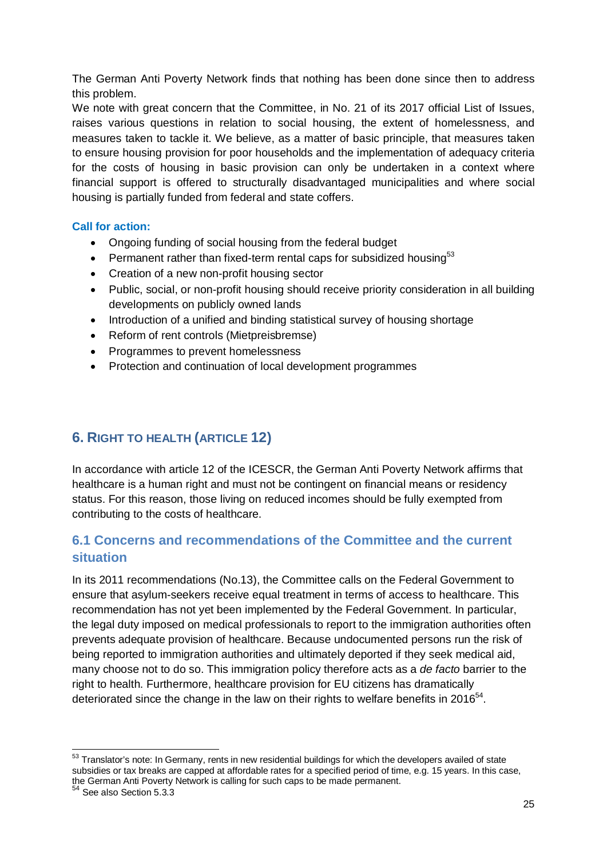The German Anti Poverty Network finds that nothing has been done since then to address this problem.

We note with great concern that the Committee, in No. 21 of its 2017 official List of Issues, raises various questions in relation to social housing, the extent of homelessness, and measures taken to tackle it. We believe, as a matter of basic principle, that measures taken to ensure housing provision for poor households and the implementation of adequacy criteria for the costs of housing in basic provision can only be undertaken in a context where financial support is offered to structurally disadvantaged municipalities and where social housing is partially funded from federal and state coffers.

#### **Call for action:**

- · Ongoing funding of social housing from the federal budget
- Permanent rather than fixed-term rental caps for subsidized housing<sup>53</sup>
- · Creation of a new non-profit housing sector
- · Public, social, or non-profit housing should receive priority consideration in all building developments on publicly owned lands
- · Introduction of a unified and binding statistical survey of housing shortage
- · Reform of rent controls (Mietpreisbremse)
- · Programmes to prevent homelessness
- · Protection and continuation of local development programmes

# **6. RIGHT TO HEALTH (ARTICLE 12)**

In accordance with article 12 of the ICESCR, the German Anti Poverty Network affirms that healthcare is a human right and must not be contingent on financial means or residency status. For this reason, those living on reduced incomes should be fully exempted from contributing to the costs of healthcare.

# **6.1 Concerns and recommendations of the Committee and the current situation**

In its 2011 recommendations (No.13), the Committee calls on the Federal Government to ensure that asylum-seekers receive equal treatment in terms of access to healthcare. This recommendation has not yet been implemented by the Federal Government. In particular, the legal duty imposed on medical professionals to report to the immigration authorities often prevents adequate provision of healthcare. Because undocumented persons run the risk of being reported to immigration authorities and ultimately deported if they seek medical aid, many choose not to do so. This immigration policy therefore acts as a *de facto* barrier to the right to health. Furthermore, healthcare provision for EU citizens has dramatically deteriorated since the change in the law on their rights to welfare benefits in 2016 $^{54}$ .

<sup>&</sup>lt;sup>53</sup> Translator's note: In Germany, rents in new residential buildings for which the developers availed of state subsidies or tax breaks are capped at affordable rates for a specified period of time, e.g. 15 years. In this case, the German Anti Poverty Network is calling for such caps to be made permanent.

<sup>54</sup> See also Section 5.3.3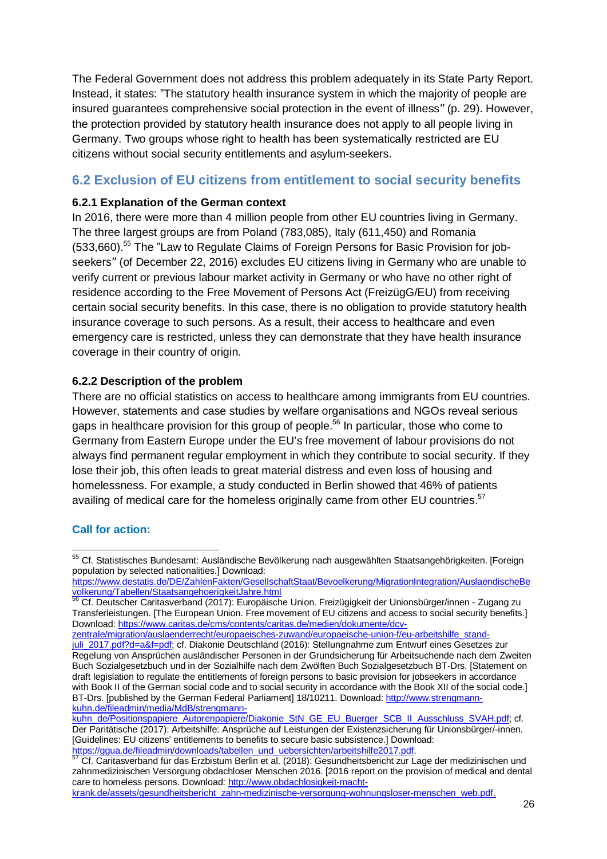The Federal Government does not address this problem adequately in its State Party Report. Instead, it states: "The statutory health insurance system in which the majority of people are insured guarantees comprehensive social protection in the event of illness" (p. 29). However, the protection provided by statutory health insurance does not apply to all people living in Germany. Two groups whose right to health has been systematically restricted are EU citizens without social security entitlements and asylum-seekers.

## **6.2 Exclusion of EU citizens from entitlement to social security benefits**

#### **6.2.1 Explanation of the German context**

In 2016, there were more than 4 million people from other EU countries living in Germany. The three largest groups are from Poland (783,085), Italy (611,450) and Romania (533,660).<sup>55</sup> The "Law to Regulate Claims of Foreign Persons for Basic Provision for jobseekers" (of December 22, 2016) excludes EU citizens living in Germany who are unable to verify current or previous labour market activity in Germany or who have no other right of residence according to the Free Movement of Persons Act (FreizügG/EU) from receiving certain social security benefits. In this case, there is no obligation to provide statutory health insurance coverage to such persons. As a result, their access to healthcare and even emergency care is restricted, unless they can demonstrate that they have health insurance coverage in their country of origin.

#### **6.2.2 Description of the problem**

There are no official statistics on access to healthcare among immigrants from EU countries. However, statements and case studies by welfare organisations and NGOs reveal serious gaps in healthcare provision for this group of people.<sup>56</sup> In particular, those who come to Germany from Eastern Europe under the EU's free movement of labour provisions do not always find permanent regular employment in which they contribute to social security. If they lose their job, this often leads to great material distress and even loss of housing and homelessness. For example, a study conducted in Berlin showed that 46% of patients availing of medical care for the homeless originally came from other EU countries.<sup>57</sup>

#### **Call for action:**

krank.de/assets/gesundheitsbericht\_zahn-medizinische-versorgung-wohnungsloser-menschen\_web.pdf.

<sup>&</sup>lt;sup>55</sup> Cf. Statistisches Bundesamt: Ausländische Bevölkerung nach ausgewählten Staatsangehörigkeiten. [Foreign population by selected nationalities.] Download:

https://www.destatis.de/DE/ZahlenFakten/GesellschaftStaat/Bevoelkerung/MigrationIntegration/AuslaendischeBe volkerung/Tabellen/StaatsangehoerigkeitJahre.html

<sup>&</sup>lt;sup>56</sup> Cf. Deutscher Caritasverband (2017): Europäische Union. Freizügigkeit der Unionsbürger/innen - Zugang zu Transferleistungen. [The European Union. Free movement of EU citizens and access to social security benefits.] Download: https://www.caritas.de/cms/contents/caritas.de/medien/dokumente/dcv-

zentrale/migration/auslaenderrecht/europaeisches-zuwand/europaeische-union-f/eu-arbeitshilfe\_standjuli\_2017.pdf?d=a&f=pdf; cf. Diakonie Deutschland (2016): Stellungnahme zum Entwurf eines Gesetzes zur Regelung von Ansprüchen ausländischer Personen in der Grundsicherung für Arbeitsuchende nach dem Zweiten Buch Sozialgesetzbuch und in der Sozialhilfe nach dem Zwölften Buch Sozialgesetzbuch BT-Drs. [Statement on draft legislation to regulate the entitlements of foreign persons to basic provision for jobseekers in accordance with Book II of the German social code and to social security in accordance with the Book XII of the social code.] BT-Drs. [published by the German Federal Parliament] 18/10211. Download: http://www.strengmannkuhn.de/fileadmin/media/MdB/strengmann-

kuhn\_de/Positionspapiere\_Autorenpapiere/Diakonie\_StN\_GE\_EU\_Buerger\_SCB\_II\_Ausschluss\_SVAH.pdf; cf. Der Paritätische (2017): Arbeitshilfe: Ansprüche auf Leistungen der Existenzsicherung für Unionsbürger/-innen. [Guidelines: EU citizens' entitlements to benefits to secure basic subsistence.] Download: https://ggua.de/fileadmin/downloads/tabellen\_und\_uebersichten/arbeitshilfe2017.pdf.

<sup>&</sup>lt;sup>57</sup> Cf. Caritasverband für das Erzbistum Berlin et al. (2018): Gesundheitsbericht zur Lage der medizinischen und zahnmedizinischen Versorgung obdachloser Menschen 2016. [2016 report on the provision of medical and dental care to homeless persons. Download: http://www.obdachlosigkeit-macht-